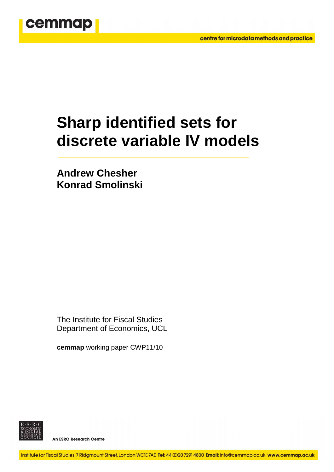

# **Sharp identified sets for discrete variable IV models**

**Andrew Chesher Konrad Smolinski** 

The Institute for Fiscal Studies Department of Economics, UCL

**cemmap** working paper CWP11/10



**An ESRC Research Centre**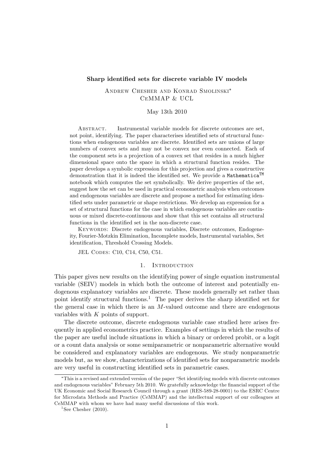## Sharp identified sets for discrete variable IV models

Andrew Chesher and Konrad Smolinski CeMMAP & UCL

#### May 13th 2010

ABSTRACT. Instrumental variable models for discrete outcomes are set, not point, identifying. The paper characterises identified sets of structural functions when endogenous variables are discrete. Identified sets are unions of large numbers of convex sets and may not be convex nor even connected. Each of the component sets is a projection of a convex set that resides in a much higher dimensional space onto the space in which a structural function resides. The paper develops a symbolic expression for this projection and gives a constructive demonstration that it is indeed the identified set. We provide a Mathematica<sup>TM</sup> notebook which computes the set symbolically. We derive properties of the set, suggest how the set can be used in practical econometric analysis when outcomes and endogenous variables are discrete and propose a method for estimating identified sets under parametric or shape restrictions. We develop an expression for a set of structural functions for the case in which endogenous variables are continuous or mixed discrete-continuous and show that this set contains all structural functions in the identified set in the non-discrete case.

Keywords: Discrete endogenous variables, Discrete outcomes, Endogeneity, Fourier-Motzkin Elimination, Incomplete models, Instrumental variables, Set identification, Threshold Crossing Models.

JEL Codes: C10, C14, C50, C51.

## 1. INTRODUCTION

This paper gives new results on the identifying power of single equation instrumental variable (SEIV) models in which both the outcome of interest and potentially endogenous explanatory variables are discrete. These models generally set rather than point identify structural functions.<sup>1</sup> The paper derives the sharp identified set for the general case in which there is an  $M$ -valued outcome and there are endogenous variables with  $K$  points of support.

The discrete outcome, discrete endogenous variable case studied here arises frequently in applied econometrics practice. Examples of settings in which the results of the paper are useful include situations in which a binary or ordered probit, or a logit or a count data analysis or some semiparametric or nonparametric alternative would be considered and explanatory variables are endogenous. We study nonparametric models but, as we show, characterizations of identified sets for nonparametric models are very useful in constructing identified sets in parametric cases.

<sup>&</sup>lt;sup>\*</sup>This is a revised and extended version of the paper "Set identifying models with discrete outcomes and endogenous variables" February 5th 2010. We gratefully acknowledge the financial support of the UK Economic and Social Research Council through a grant (RES-589-28-0001) to the ESRC Centre for Microdata Methods and Practice (CeMMAP) and the intellectual support of our colleagues at CeMMAP with whom we have had many useful discussions of this work.

<sup>&</sup>lt;sup>1</sup>See Chesher  $(2010)$ .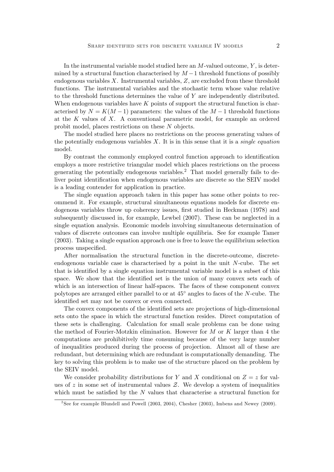In the instrumental variable model studied here an  $M$ -valued outcome,  $Y$ , is determined by a structural function characterised by  $M-1$  threshold functions of possibly endogenous variables  $X$ . Instrumental variables,  $Z$ , are excluded from these threshold functions. The instrumental variables and the stochastic term whose value relative to the threshold functions determines the value of Y are independently distributed. When endogenous variables have  $K$  points of support the structural function is characterised by  $N = K(M-1)$  parameters: the values of the  $M-1$  threshold functions at the  $K$  values of  $X$ . A conventional parametric model, for example an ordered probit model, places restrictions on these N objects.

The model studied here places no restrictions on the process generating values of the potentially endogenous variables  $X$ . It is in this sense that it is a *single equation* model.

By contrast the commonly employed control function approach to identification employs a more restrictive triangular model which places restrictions on the process generating the potentially endogenous variables.<sup>2</sup> That model generally fails to deliver point identification when endogenous variables are discrete so the SEIV model is a leading contender for application in practice.

The single equation approach taken in this paper has some other points to recommend it. For example, structural simultaneous equations models for discrete endogenous variables throw up coherency issues, first studied in Heckman (1978) and subsequently discussed in, for example, Lewbel (2007). These can be neglected in a single equation analysis. Economic models involving simultaneous determination of values of discrete outcomes can involve multiple equilibria. See for example Tamer (2003). Taking a single equation approach one is free to leave the equilibrium selection process unspecified.

After normalisation the structural function in the discrete-outcome, discreteendogenous variable case is characterised by a point in the unit  $N$ -cube. The set that is identified by a single equation instrumental variable model is a subset of this space. We show that the identified set is the union of many convex sets each of which is an intersection of linear half-spaces. The faces of these component convex polytopes are arranged either parallel to or at  $45^{\circ}$  angles to faces of the N-cube. The identified set may not be convex or even connected.

The convex components of the identified sets are projections of high-dimensional sets onto the space in which the structural function resides. Direct computation of these sets is challenging. Calculation for small scale problems can be done using the method of Fourier-Motzkin elimination. However for  $M$  or  $K$  larger than 4 the computations are prohibitively time consuming because of the very large number of inequalities produced during the process of projection. Almost all of these are redundant, but determining which are redundant is computationally demanding. The key to solving this problem is to make use of the structure placed on the problem by the SEIV model.

We consider probability distributions for Y and X conditional on  $Z = z$  for values of z in some set of instrumental values  $Z$ . We develop a system of inequalities which must be satisfied by the  $N$  values that characterise a structural function for

<sup>2</sup> See for example Blundell and Powell (2003, 2004), Chesher (2003), Imbens and Newey (2009).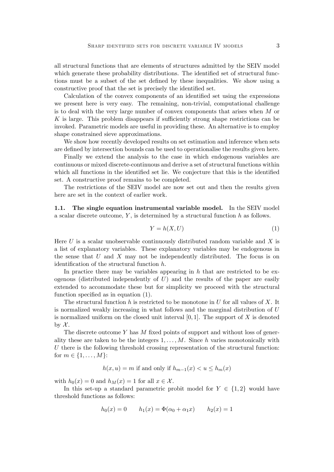all structural functions that are elements of structures admitted by the SEIV model which generate these probability distributions. The identified set of structural functions must be a subset of the set defined by these inequalities. We show using a constructive proof that the set is precisely the identified set.

Calculation of the convex components of an identified set using the expressions we present here is very easy. The remaining, non-trivial, computational challenge is to deal with the very large number of convex components that arises when M or  $K$  is large. This problem disappears if sufficiently strong shape restrictions can be invoked. Parametric models are useful in providing these. An alternative is to employ shape constrained sieve approximations.

We show how recently developed results on set estimation and inference when sets are defined by intersection bounds can be used to operationalise the results given here.

Finally we extend the analysis to the case in which endogenous variables are continuous or mixed discrete-continuous and derive a set of structural functions within which all functions in the identified set lie. We conjecture that this is the identified set. A constructive proof remains to be completed.

The restrictions of the SEIV model are now set out and then the results given here are set in the context of earlier work.

1.1. The single equation instrumental variable model. In the SEIV model a scalar discrete outcome,  $Y$ , is determined by a structural function  $h$  as follows.

$$
Y = h(X, U) \tag{1}
$$

Here  $U$  is a scalar unobservable continuously distributed random variable and  $X$  is a list of explanatory variables. These explanatory variables may be endogenous in the sense that  $U$  and  $X$  may not be independently distributed. The focus is on identification of the structural function  $h$ .

In practice there may be variables appearing in  $h$  that are restricted to be exogenous (distributed independently of  $U$ ) and the results of the paper are easily extended to accommodate these but for simplicity we proceed with the structural function specified as in equation  $(1)$ .

The structural function h is restricted to be monotone in  $U$  for all values of  $X$ . It is normalized weakly increasing in what follows and the marginal distribution of U is normalized uniform on the closed unit interval  $[0, 1]$ . The support of X is denoted by  $\mathcal{X}$ .

The discrete outcome  $Y$  has  $M$  fixed points of support and without loss of generality these are taken to be the integers  $1, \ldots, M$ . Since h varies monotonically with U there is the following threshold crossing representation of the structural function: for  $m \in \{1, ..., M\}$ :

$$
h(x, u) = m
$$
 if and only if  $h_{m-1}(x) < u \le h_m(x)$ 

with  $h_0(x) = 0$  and  $h_M(x) = 1$  for all  $x \in \mathcal{X}$ .

In this set-up a standard parametric probit model for  $Y \in \{1,2\}$  would have threshold functions as follows:

$$
h_0(x) = 0
$$
  $h_1(x) = \Phi(\alpha_0 + \alpha_1 x)$   $h_2(x) = 1$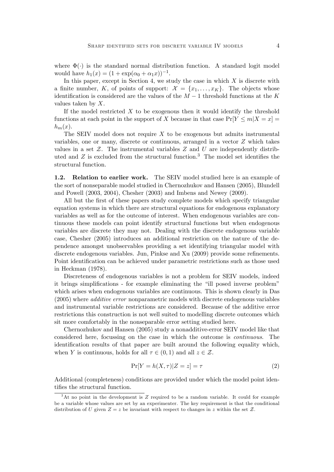where  $\Phi(\cdot)$  is the standard normal distribution function. A standard logit model would have  $h_1(x) = (1 + \exp(\alpha_0 + \alpha_1 x))^{-1}$ .

In this paper, except in Section 4, we study the case in which  $X$  is discrete with a finite number, K, of points of support:  $\mathcal{X} = \{x_1, \ldots, x_K\}$ . The objects whose identification is considered are the values of the  $M-1$  threshold functions at the K values taken by  $X$ .

If the model restricted  $X$  to be exogenous then it would identify the threshold functions at each point in the support of X because in that case  $Pr[Y \le m|X = x] =$  $h_m(x)$ .

The SEIV model does not require  $X$  to be exogenous but admits instrumental variables, one or many, discrete or continuous, arranged in a vector Z which takes values in a set  $Z$ . The instrumental variables  $Z$  and  $U$  are independently distributed and  $Z$  is excluded from the structural function.<sup>3</sup> The model set identifies the structural function.

1.2. Relation to earlier work. The SEIV model studied here is an example of the sort of nonseparable model studied in Chernozhukov and Hansen (2005), Blundell and Powell (2003, 2004), Chesher (2003) and Imbens and Newey (2009).

All but the first of these papers study complete models which specify triangular equation systems in which there are structural equations for endogenous explanatory variables as well as for the outcome of interest. When endogenous variables are continuous these models can point identify structural functions but when endogenous variables are discrete they may not. Dealing with the discrete endogenous variable case, Chesher (2005) introduces an additional restriction on the nature of the dependence amongst unobservables providing a set identifying triangular model with discrete endogenous variables. Jun, Pinkse and Xu (2009) provide some refinements. Point identification can be achieved under parametric restrictions such as those used in Heckman (1978).

Discreteness of endogenous variables is not a problem for SEIV models, indeed it brings simplifications - for example eliminating the "ill posed inverse problem" which arises when endogenous variables are continuous. This is shown clearly in Das (2005) where additive error nonparametric models with discrete endogenous variables and instrumental variable restrictions are considered. Because of the additive error restrictions this construction is not well suited to modelling discrete outcomes which sit more comfortably in the nonseparable error setting studied here.

Chernozhukov and Hansen (2005) study a nonadditive-error SEIV model like that considered here, focussing on the case in which the outcome is continuous. The identification results of that paper are built around the following equality which, when Y is continuous, holds for all  $\tau \in (0, 1)$  and all  $z \in \mathcal{Z}$ .

$$
\Pr[Y = h(X, \tau)|Z = z] = \tau \tag{2}
$$

Additional (completeness) conditions are provided under which the model point identifies the structural function.

<sup>&</sup>lt;sup>3</sup>At no point in the development is Z required to be a random variable. It could for example be a variable whose values are set by an experimenter. The key requirement is that the conditional distribution of U given  $Z = z$  be invariant with respect to changes in z within the set Z.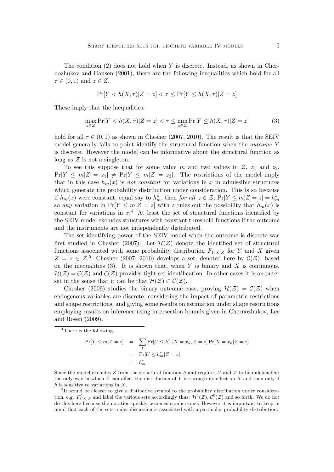The condition  $(2)$  does not hold when Y is discrete. Instead, as shown in Chernozhukov and Hansen (2001), there are the following inequalities which hold for all  $\tau \in (0, 1)$  and  $z \in Z$ .

$$
\Pr[Y < h(X, \tau) | Z = z] < \tau \le \Pr[Y \le h(X, \tau) | Z = z]
$$

These imply that the inequalities:

$$
\max_{z \in \mathcal{Z}} \Pr[Y < h(X, \tau) | Z = z] < \tau \le \min_{z \in \mathcal{Z}} \Pr[Y \le h(X, \tau) | Z = z] \tag{3}
$$

hold for all  $\tau \in (0, 1)$  as shown in Chesher (2007, 2010). The result is that the SEIV model generally fails to point identify the structural function when the outcome Y is discrete. However the model can be informative about the structural function as long as  $\mathcal Z$  is not a singleton.

To see this suppose that for some value m and two values in  $\mathcal{Z}$ ,  $z_1$  and  $z_2$ ,  $Pr[Y \le m|Z = z_1] \ne Pr[Y \le m|Z = z_2]$ . The restrictions of the model imply that in this case  $h_m(x)$  is not constant for variations in x in admissible structures which generate the probability distribution under consideration. This is so because if  $h_m(x)$  were constant, equal say to  $h_m^*$ , then for all  $z \in \mathcal{Z}$ ,  $Pr[Y \le m | Z = z] = h_m^*$ so any variation in  $Pr[Y \le m|Z = z]$  with z rules out the possibility that  $h_m(x)$  is constant for variations in  $x^4$ . At least the set of structural functions identified by the SEIV model excludes structures with constant threshold functions if the outcome and the instruments are not independently distributed.

The set identifying power of the SEIV model when the outcome is discrete was first studied in Chesher (2007). Let  $\mathcal{H}(Z)$  denote the identified set of structural functions associated with some probability distribution  $F_{YX|Z}$  for Y and X given  $Z = z \in \mathcal{Z}^5$  Chesher (2007, 2010) develops a set, denoted here by  $\mathcal{C}(Z)$ , based on the inequalities  $(3)$ . It is shown that, when Y is binary and X is continuous,  $\mathcal{H}(\mathcal{Z}) = \mathcal{C}(\mathcal{Z})$  and  $\mathcal{C}(\mathcal{Z})$  provides tight set identification. In other cases it is an outer set in the sense that it can be that  $\mathcal{H}(\mathcal{Z}) \subset \mathcal{C}(\mathcal{Z})$ .

Chesher (2009) studies the binary outcome case, proving  $\mathcal{H}(\mathcal{Z}) = \mathcal{C}(\mathcal{Z})$  when endogenous variables are discrete, considering the impact of parametric restrictions and shape restrictions, and giving some results on estimation under shape restrictions employing results on inference using intersection bounds given in Chernozhukov, Lee and Rosen (2009).

<sup>4</sup>There is the following.

 $Pr[Y \le m | Z = z]$  =  $\sum_{k} Pr[U \le h_m^* | X = x_k, Z = z] Pr[X = x_k | Z = z]$  $= \Pr[U \leq h_m^* | Z = z]$  $=$   $h_m^*$ 

Since the model excludes  $Z$  from the structural function  $h$  and requires  $U$  and  $Z$  to be independent the only way in which  $Z$  can affect the distribution of Y is through its effect on  $X$  and then only if  $h$  is sensitive to variations in  $X$ .

<sup>5</sup>It would be clearer to give a distinctive symbol to the probability distribution under consideration, e.g.  $F_{YX|Z}^0$  and label the various sets accordingly thus:  $\mathcal{H}^0(\mathcal{Z})$ ,  $\mathcal{C}^0(\mathcal{Z})$  and so forth. We do not do this here because the notation quickly becomes cumbersome. However it is important to keep in mind that each of the sets under discussion is associated with a particular probability distribution.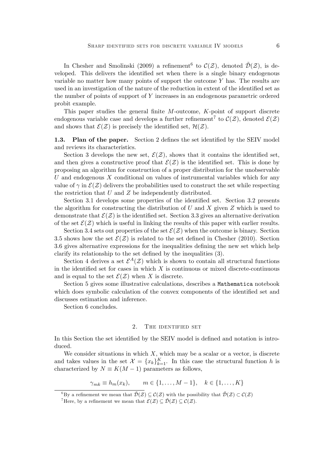In Chesher and Smolinski (2009) a refinement<sup>6</sup> to  $\mathcal{C}(Z)$ , denoted  $\tilde{\mathcal{D}}(Z)$ , is developed. This delivers the identified set when there is a single binary endogenous variable no matter how many points of support the outcome  $Y$  has. The results are used in an investigation of the nature of the reduction in extent of the identified set as the number of points of support of  $Y$  increases in an endogenous parametric ordered probit example.

This paper studies the general finite  $M$ -outcome,  $K$ -point of support discrete endogenous variable case and develops a further refinement<sup>7</sup> to  $\mathcal{C}(\mathcal{Z})$ , denoted  $\mathcal{E}(\mathcal{Z})$ and shows that  $\mathcal{E}(\mathcal{Z})$  is precisely the identified set,  $\mathcal{H}(\mathcal{Z})$ .

1.3. Plan of the paper. Section 2 defines the set identified by the SEIV model and reviews its characteristics.

Section 3 develops the new set,  $\mathcal{E}(\mathcal{Z})$ , shows that it contains the identified set, and then gives a constructive proof that  $\mathcal{E}(Z)$  is the identified set. This is done by proposing an algorithm for construction of a proper distribution for the unobservable U and endogenous  $X$  conditional on values of instrumental variables which for any value of  $\gamma$  in  $\mathcal{E}(Z)$  delivers the probabilities used to construct the set while respecting the restriction that  $U$  and  $Z$  be independently distributed.

Section 3.1 develops some properties of the identified set. Section 3.2 presents the algorithm for constructing the distribution of U and X given  $Z$  which is used to demonstrate that  $\mathcal{E}(Z)$  is the identified set. Section 3.3 gives an alternative derivation of the set  $\mathcal{E}(\mathcal{Z})$  which is useful in linking the results of this paper with earlier results.

Section 3.4 sets out properties of the set  $\mathcal{E}(\mathcal{Z})$  when the outcome is binary. Section 3.5 shows how the set  $\mathcal{E}(\mathcal{Z})$  is related to the set defined in Chesher (2010). Section 3.6 gives alternative expressions for the inequalities defining the new set which help clarify its relationship to the set defined by the inequalities  $(3)$ .

Section 4 derives a set  $\mathcal{E}^A(\mathcal{Z})$  which is shown to contain all structural functions in the identified set for cases in which  $X$  is continuous or mixed discrete-continuous and is equal to the set  $\mathcal{E}(\mathcal{Z})$  when X is discrete.

Section 5 gives some illustrative calculations, describes a Mathematica notebook which does symbolic calculation of the convex components of the identified set and discusses estimation and inference.

Section 6 concludes.

#### 2. The identified set

In this Section the set identified by the SEIV model is defined and notation is introduced.

We consider situations in which  $X$ , which may be a scalar or a vector, is discrete and takes values in the set  $\mathcal{X} = \{x_k\}_{k=1}^K$ . In this case the structural function h is characterized by  $N \equiv K(M - 1)$  parameters as follows,

 $\gamma_{mk} \equiv h_m(x_k), \qquad m \in \{1, \ldots, M-1\}, \quad k \in \{1, \ldots, K\}$ 

<sup>&</sup>lt;sup>6</sup>By a refinement we mean that  $\tilde{\mathcal{D}}(\mathcal{Z}) \subseteq \mathcal{C}(\mathcal{Z})$  with the possibility that  $\tilde{\mathcal{D}}(\mathcal{Z}) \subset \mathcal{C}(\mathcal{Z})$ 

<sup>&</sup>lt;sup>7</sup>Here, by a refinement we mean that  $\mathcal{E}(\mathcal{Z}) \subseteq \tilde{\mathcal{D}}(\mathcal{Z}) \subseteq \mathcal{C}(\mathcal{Z})$ .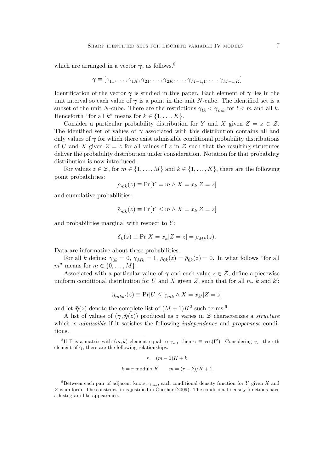which are arranged in a vector  $\gamma$ , as follows.<sup>8</sup>

$$
\boldsymbol{\gamma} \equiv [\gamma_{11}, \ldots, \gamma_{1K}, \gamma_{21}, \ldots, \gamma_{2K}, \ldots, \gamma_{M-1,1}, \ldots, \gamma_{M-1,K}]
$$

Identification of the vector  $\gamma$  is studied in this paper. Each element of  $\gamma$  lies in the unit interval so each value of  $\gamma$  is a point in the unit N-cube. The identified set is a subset of the unit N-cube. There are the restrictions  $\gamma_{lk} < \gamma_{mk}$  for  $l < m$  and all k. Henceforth "for all k" means for  $k \in \{1, \ldots, K\}$ .

Consider a particular probability distribution for Y and X given  $Z = z \in \mathcal{Z}$ . The identified set of values of  $\gamma$  associated with this distribution contains all and only values of  $\gamma$  for which there exist admissible conditional probability distributions of U and X given  $Z = z$  for all values of z in Z such that the resulting structures deliver the probability distribution under consideration. Notation for that probability distribution is now introduced.

For values  $z \in \mathcal{Z}$ , for  $m \in \{1, \ldots, M\}$  and  $k \in \{1, \ldots, K\}$ , there are the following point probabilities:

$$
\rho_{mk}(z) \equiv \Pr[Y = m \land X = x_k | Z = z]
$$

and cumulative probabilities:

$$
\bar{\rho}_{mk}(z) \equiv \Pr[Y \le m \land X = x_k | Z = z]
$$

and probabilities marginal with respect to  $Y$ :

$$
\delta_k(z) \equiv \Pr[X = x_k | Z = z] = \bar{\rho}_{Mk}(z).
$$

Data are informative about these probabilities.

For all k define:  $\gamma_{0k} = 0$ ,  $\gamma_{Mk} = 1$ ,  $\rho_{0k}(z) = \bar{\rho}_{0k}(z) = 0$ . In what follows "for all m" means for  $m \in \{0, \ldots, M\}$ .

Associated with a particular value of  $\gamma$  and each value  $z \in \mathcal{Z}$ , define a piecewise uniform conditional distribution for U and X given Z, such that for all  $m$ , k and k':

$$
\bar{\eta}_{mkk'}(z) \equiv \Pr[U \le \gamma_{mk} \land X = x_{k'} | Z = z]
$$

and let  $\bar{\eta}(z)$  denote the complete list of  $(M+1)K^2$  such terms.<sup>9</sup>

A list of values of  $(\gamma, \bar{\eta}(z))$  produced as z varies in Z characterizes a *structure* which is *admissible* if it satisfies the following *independence* and *properness* conditions.

$$
r = (m-1)K + k
$$
  

$$
k = r \text{ modulo } K \qquad m = (r-k)/K + 1
$$

<sup>&</sup>lt;sup>8</sup>If  $\Gamma$  is a matrix with  $(m, k)$  element equal to  $\gamma_{mk}$  then  $\gamma \equiv \text{vec}(\Gamma')$ . Considering  $\gamma_r$ , the rth element of  $\gamma$ , there are the following relationships.

<sup>&</sup>lt;sup>9</sup>Between each pair of adjacent knots,  $\gamma_{mk}$ , each conditional density function for Y given X and  $Z$  is uniform. The construction is justified in Chesher (2009). The conditional density functions have a histogram-like appearance.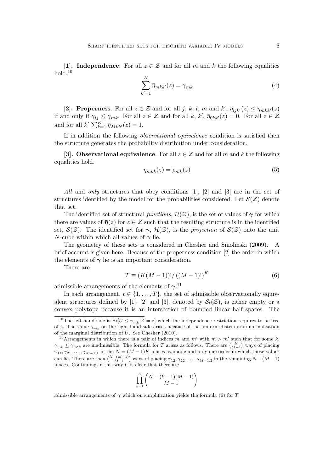[1]. Independence. For all  $z \in \mathcal{Z}$  and for all m and k the following equalities hold. $10$ 

$$
\sum_{k'=1}^{K} \bar{\eta}_{mkk'}(z) = \gamma_{mk} \tag{4}
$$

[2]. Properness. For all  $z \in \mathcal{Z}$  and for all j, k, l, m and  $k'$ ,  $\bar{\eta}_{ljk'}(z) \leq \bar{\eta}_{mkk'}(z)$ if and only if  $\gamma_{lj} \leq \gamma_{mk}$ . For all  $z \in \mathcal{Z}$  and for all  $k, k', \bar{\eta}_{0kk'}(z) = 0$ . For all  $z \in \mathcal{Z}$ and for all  $k' \sum_{k=1}^K \bar{\eta}_{Mkk'}(z) = 1.$ 

If in addition the following *observational equivalence* condition is satisfied then the structure generates the probability distribution under consideration.

[3]. Observational equivalence. For all  $z \in \mathcal{Z}$  and for all m and k the following equalities hold.

$$
\bar{\eta}_{mkk}(z) = \bar{\rho}_{mk}(z) \tag{5}
$$

All and only structures that obey conditions [1], [2] and [3] are in the set of structures identified by the model for the probabilities considered. Let  $\mathcal{S}(\mathcal{Z})$  denote that set.

The identified set of structural functions,  $\mathcal{H}(\mathcal{Z})$ , is the set of values of  $\gamma$  for which there are values of  $\bar{\eta}(z)$  for  $z \in \mathcal{Z}$  such that the resulting structure is in the identified set,  $\mathcal{S}(\mathcal{Z})$ . The identified set for  $\gamma$ ,  $\mathcal{H}(\mathcal{Z})$ , is the projection of  $\mathcal{S}(\mathcal{Z})$  onto the unit N-cube within which all values of  $\gamma$  lie.

The geometry of these sets is considered in Chesher and Smolinski (2009). A brief account is given here. Because of the properness condition [2] the order in which the elements of  $\gamma$  lie is an important consideration.

There are

$$
T \equiv (K(M-1))!/((M-1)!)^K
$$
 (6)

admissible arrangements of the elements of  $\gamma$ .<sup>11</sup>

In each arrangement,  $t \in \{1, \ldots, T\}$ , the set of admissible observationally equivalent structures defined by [1], [2] and [3], denoted by  $S_t(\mathcal{Z})$ , is either empty or a convex polytope because it is an intersection of bounded linear half spaces. The

$$
\prod_{k=1}^K \binom{N-(k-1)(M-1)}{M-1}
$$

admissible arrangements of  $\gamma$  which on simplification yields the formula (6) for T.

<sup>&</sup>lt;sup>10</sup>The left hand side is  $Pr[U \leq \gamma_{mk} | Z = z]$  which the independence restriction requires to be free of z. The value  $\gamma_{mk}$  on the right hand side arises because of the uniform distribution normalisation of the marginal distribution of U. See Chesher (2010).

<sup>&</sup>lt;sup>11</sup> Arrangements in which there is a pair of indices m and m' with  $m > m'$  such that for some k,  $\gamma_{mk} \leq \gamma_{m'k}$  are inadmissible. The formula for T arises as follows. There are  $\binom{N}{M-1}$  ways of placing  $\gamma_{11}, \gamma_{21}, \ldots, \gamma_{M-1,1}$  in the  $N = (M-1)K$  places available and only one order in which those values can lie. There are then  $\binom{N-(M-1)}{M-1}$  ways of placing  $\gamma_{12}, \gamma_{22}, \ldots, \gamma_{M-1,2}$  in the remaining  $N-(M-1)$ places. Continuing in this way it is clear that there are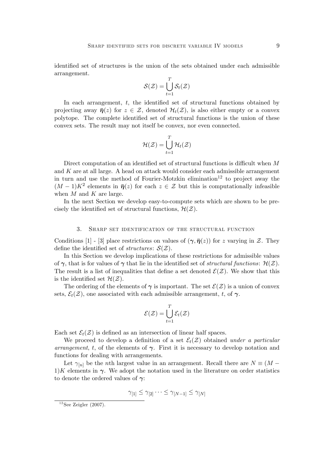identified set of structures is the union of the sets obtained under each admissible arrangement.

$$
\mathcal{S}(\mathcal{Z}) = \bigcup_{t=1}^T \mathcal{S}_t(\mathcal{Z})
$$

In each arrangement,  $t$ , the identified set of structural functions obtained by projecting away  $\bar{\eta}(z)$  for  $z \in \mathcal{Z}$ , denoted  $\mathcal{H}_t(\mathcal{Z})$ , is also either empty or a convex polytope. The complete identified set of structural functions is the union of these convex sets. The result may not itself be convex, nor even connected.

$$
\mathcal{H}(\mathcal{Z}) = \bigcup_{t=1}^T \mathcal{H}_t(\mathcal{Z})
$$

Direct computation of an identified set of structural functions is difficult when  $M$ and  $K$  are at all large. A head on attack would consider each admissible arrangement in turn and use the method of Fourier-Motzkin elimination<sup>12</sup> to project away the  $(M-1)K^2$  elements in  $\bar{\eta}(z)$  for each  $z \in \mathcal{Z}$  but this is computationally infeasible when  $M$  and  $K$  are large.

In the next Section we develop easy-to-compute sets which are shown to be precisely the identified set of structural functions,  $\mathcal{H}(\mathcal{Z})$ .

#### 3. Sharp set identification of the structural function

Conditions [1] - [3] place restrictions on values of  $(\gamma, \bar{\eta}(z))$  for z varying in Z. They define the identified set of *structures*:  $S(\mathcal{Z})$ .

In this Section we develop implications of these restrictions for admissible values of  $\gamma$ , that is for values of  $\gamma$  that lie in the identified set of *structural functions*:  $\mathcal{H}(\mathcal{Z})$ . The result is a list of inequalities that define a set denoted  $\mathcal{E}(Z)$ . We show that this is the identified set  $\mathcal{H}(\mathcal{Z})$ .

The ordering of the elements of  $\gamma$  is important. The set  $\mathcal{E}(Z)$  is a union of convex sets,  $\mathcal{E}_t(\mathcal{Z})$ , one associated with each admissible arrangement, t, of  $\gamma$ .

$$
\mathcal{E}(\mathcal{Z}) = \bigcup_{t=1}^T \mathcal{E}_t(\mathcal{Z})
$$

Each set  $\mathcal{E}_t(\mathcal{Z})$  is defined as an intersection of linear half spaces.

We proceed to develop a definition of a set  $\mathcal{E}_t(\mathcal{Z})$  obtained under a particular arrangement, t, of the elements of  $\gamma$ . First it is necessary to develop notation and functions for dealing with arrangements.

Let  $\gamma_{[n]}$  be the *n*th largest value in an arrangement. Recall there are  $N \equiv (M 1/K$  elements in  $\gamma$ . We adopt the notation used in the literature on order statistics to denote the ordered values of  $\gamma$ :

$$
\gamma_{[1]} \leq \gamma_{[2]} \cdots \leq \gamma_{[N-1]} \leq \gamma_{[N]}
$$

 $12$ See Zeigler (2007).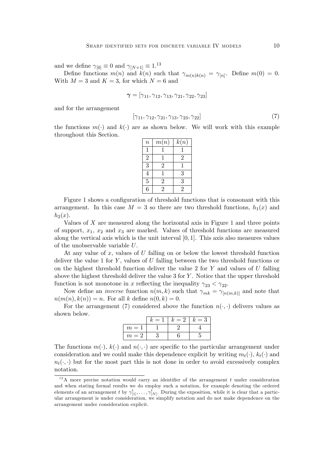and we define  $\gamma_{[0]} \equiv 0$  and  $\gamma_{[N+1]} \equiv 1^{13}$ 

Define functions  $m(n)$  and  $k(n)$  such that  $\gamma_{m(n)k(n)} = \gamma_{[n]}$ . Define  $m(0) = 0$ . With  $M = 3$  and  $K = 3$ , for which  $N = 6$  and

$$
\boldsymbol{\gamma}=[\gamma_{11},\gamma_{12},\gamma_{13},\gamma_{21},\gamma_{22},\gamma_{23}]
$$

and for the arrangement

$$
[\gamma_{11}, \gamma_{12}, \gamma_{21}, \gamma_{13}, \gamma_{23}, \gamma_{22}] \tag{7}
$$

the functions  $m(\cdot)$  and  $k(\cdot)$  are as shown below. We will work with this example throughout this Section.

| $\boldsymbol{n}$ | m(n)           | k(n)           |
|------------------|----------------|----------------|
| 1                |                |                |
| $\overline{2}$   |                | $\mathfrak{D}$ |
| 3                | $\overline{2}$ |                |
| 4                |                | 3              |
| $\overline{5}$   | $\overline{2}$ | 3              |
| 6                | $\mathfrak{D}$ | $\overline{2}$ |

Figure 1 shows a configuration of threshold functions that is consonant with this arrangement. In this case  $M = 3$  so there are two threshold functions,  $h_1(x)$  and  $h_2(x)$ .

Values of X are measured along the horizontal axis in Figure 1 and three points of support,  $x_1, x_2$  and  $x_3$  are marked. Values of threshold functions are measured along the vertical axis which is the unit interval  $[0, 1]$ . This axis also measures values of the unobservable variable U.

At any value of  $x$ , values of  $U$  falling on or below the lowest threshold function deliver the value 1 for  $Y$ , values of  $U$  falling between the two threshold functions or on the highest threshold function deliver the value 2 for  $Y$  and values of  $U$  falling above the highest threshold deliver the value  $3$  for  $Y$ . Notice that the upper threshold function is not monotone in x reflecting the inequality  $\gamma_{23} < \gamma_{22}$ .

Now define an *inverse* function  $n(m, k)$  such that  $\gamma_{mk} = \gamma_{[n(m,k)]}$  and note that  $n(m(n), k(n)) = n$ . For all k define  $n(0, k) = 0$ .

For the arrangement (7) considered above the function  $n(\cdot, \cdot)$  delivers values as shown below.

|       | $= 1$ | $k=2$ | $k=3$ |
|-------|-------|-------|-------|
| $m=1$ |       |       |       |
| $m=2$ |       |       |       |

The functions  $m(\cdot)$ ,  $k(\cdot)$  and  $n(\cdot, \cdot)$  are specific to the particular arrangement under consideration and we could make this dependence explicit by writing  $m_t(\cdot)$ ,  $k_t(\cdot)$  and  $n_t(\cdot, \cdot)$  but for the most part this is not done in order to avoid excessively complex notation.

 $13A$  more precise notation would carry an identifier of the arrangement t under consideration and when stating formal results we do employ such a notation, for example denoting the ordered elements of an arrangement t by  $\gamma_{[1]}^t, \ldots, \gamma_{[N]}^t$ . During the exposition, while it is clear that a particular arrangement is under consideration, we simplify notation and do not make dependence on the arrangement under consideration explicit.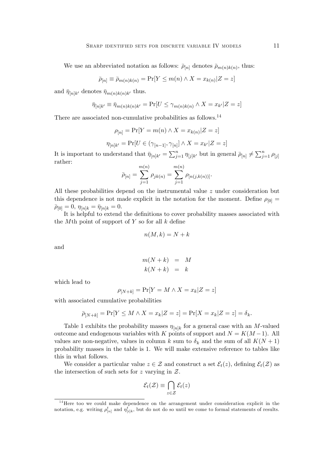We use an abbreviated notation as follows:  $\bar{\rho}_{[n]}$  denotes  $\bar{\rho}_{m(n)k(n)}$ , thus:

 $\overline{\rho}_{[n]} \equiv \overline{\rho}_{m(n)k(n)} = \Pr[Y \leq m(n) \wedge X = x_{k(n)} | Z = z]$ 

and  $\bar{\eta}_{[n]k'}$  denotes  $\bar{\eta}_{m(n)k(n)k'}$  thus.

$$
\bar{\eta}_{[n]k'} \equiv \bar{\eta}_{m(n)k(n)k'} = \Pr[U \le \gamma_{m(n)k(n)} \land X = x_{k'}|Z = z]
$$

There are associated non-cumulative probabilities as follows.<sup>14</sup>

$$
\rho_{[n]} = \Pr[Y = m(n) \land X = x_{k(n)} | Z = z]
$$

$$
\eta_{[n]k'} = \Pr[U \in (\gamma_{[n-1]}, \gamma_{[n]}] \land X = x_{k'} | Z = z]
$$

It is important to understand that  $\bar{\eta}_{[n]k'} = \sum_{j=1}^n \eta_{[j]k'}$  but in general  $\bar{\rho}_{[n]} \neq \sum_{j=1}^n \rho_{[j]}$ rather:

$$
\bar{\rho}_{[n]} = \sum_{j=1}^{m(n)} \rho_{jk(n)} = \sum_{j=1}^{m(n)} \rho_{[n(j,k(n))]}.
$$

All these probabilities depend on the instrumental value z under consideration but this dependence is not made explicit in the notation for the moment. Define  $\rho_{[0]} =$  $\bar{\rho}_{[0]} = 0, \eta_{[n]k} = \bar{\eta}_{[n]k} = 0.$ 

It is helpful to extend the definitions to cover probability masses associated with the Mth point of support of Y so for all  $k$  define

$$
n(M,k) = N + k
$$

and

$$
m(N+k) = M
$$
  

$$
k(N+k) = k
$$

which lead to

$$
\rho_{[N+k]} = \Pr[Y=M \wedge X=x_k|Z=z]
$$

with associated cumulative probabilities

$$
\bar{p}_{[N+k]} = \Pr[Y \le M \wedge X = x_k | Z = z] = \Pr[X = x_k | Z = z] = \delta_k.
$$

Table 1 exhibits the probability masses  $\eta_{[n]k}$  for a general case with an M-valued outcome and endogenous variables with K points of support and  $N = K(M-1)$ . All values are non-negative, values in column k sum to  $\delta_k$  and the sum of all  $K(N+1)$ probability masses in the table is 1. We will make extensive reference to tables like this in what follows.

We consider a particular value  $z \in \mathcal{Z}$  and construct a set  $\mathcal{E}_t(z)$ , defining  $\mathcal{E}_t(\mathcal{Z})$  as the intersection of such sets for z varying in  $Z$ .

$$
\mathcal{E}_t(\mathcal{Z}) \equiv \bigcap_{z \in \mathcal{Z}} \mathcal{E}_t(z)
$$

<sup>&</sup>lt;sup>14</sup>Here too we could make dependence on the arrangement under consideration explicit in the notation, e.g. writing  $\rho_{[n]}^t$  and  $\eta_{[i]k}^t$ , but do not do so until we come to formal statements of results.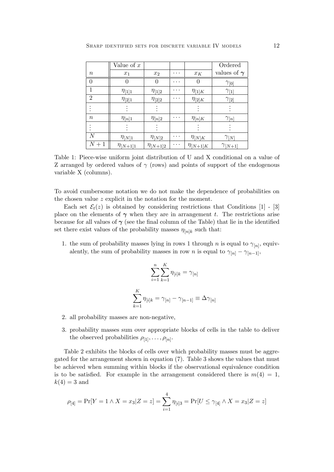|                  | Value of $x$     |                  |   |                 | Ordered            |
|------------------|------------------|------------------|---|-----------------|--------------------|
| $\, n$           | $x_1$            | $x_2$            | . | $x_K$           | values of $\gamma$ |
| $\overline{0}$   | $\left( \right)$ | $\left( \right)$ | . | $\theta$        | $\gamma_{[0]}$     |
| $\mathbf{1}$     | $\eta_{[1]1}$    | $\eta_{[1]2}$    | . | $\eta_{[1]K}$   | $\gamma_{11}$      |
| $\overline{2}$   | $\eta_{[2]1}$    | $\eta_{[2]2}$    | . | $\eta_{[2]K}$   | $\gamma_{2}$       |
|                  |                  |                  |   |                 |                    |
| $\boldsymbol{n}$ | $\eta_{[n]1}$    | $\eta_{[n]2}$    | . | $\eta_{[n]K}$   | $\gamma_{[n]}$     |
|                  |                  |                  |   |                 |                    |
| $\,N$            | $\eta_{[N]1}$    | $\eta_{[N]2}$    | . | $\eta_{[N]K}$   | $\gamma_{[N]}$     |
| $N+1$            | $\eta_{[N+1]1}$  | $\eta_{[N+1]2}$  | . | $\eta_{[N+1]K}$ | $\gamma_{[N+1]}$   |

Table 1: Piece-wise uniform joint distribution of U and X conditional on a value of Z arranged by ordered values of  $\gamma$  (rows) and points of support of the endogenous variable X (columns).

To avoid cumbersome notation we do not make the dependence of probabilities on the chosen value z explicit in the notation for the moment.

Each set  $\mathcal{E}_t(z)$  is obtained by considering restrictions that Conditions [1] - [3] place on the elements of  $\gamma$  when they are in arrangement t. The restrictions arise because for all values of  $\gamma$  (see the final column of the Table) that lie in the identified set there exist values of the probability masses  $\eta_{[n]k}$  such that:

1. the sum of probability masses lying in rows 1 through *n* is equal to  $\gamma_{[n]}$ , equivalently, the sum of probability masses in row *n* is equal to  $\gamma_{[n]} - \gamma_{[n-1]}$ ,

$$
\sum_{i=1}^{n} \sum_{k=1}^{K} \eta_{[i]k} = \gamma_{[n]}
$$

$$
\sum_{k=1}^{K} \eta_{[i]k} = \gamma_{[n]} - \gamma_{[n-1]} \equiv \Delta \gamma_{[n]}
$$

- 2. all probability masses are non-negative,
- 3. probability masses sum over appropriate blocks of cells in the table to deliver the observed probabilities  $\rho_{[1]}, \ldots, \rho_{[n]}.$

Table 2 exhibits the blocks of cells over which probability masses must be aggregated for the arrangement shown in equation (7). Table 3 shows the values that must be achieved when summing within blocks if the observational equivalence condition is to be satisfied. For example in the arrangement considered there is  $m(4) = 1$ ,  $k(4) = 3$  and

$$
\rho_{[4]} = \Pr[Y = 1 \land X = x_3 | Z = z] = \sum_{i=1}^{4} \eta_{[i]3} = \Pr[U \le \gamma_{[4]} \land X = x_3 | Z = z]
$$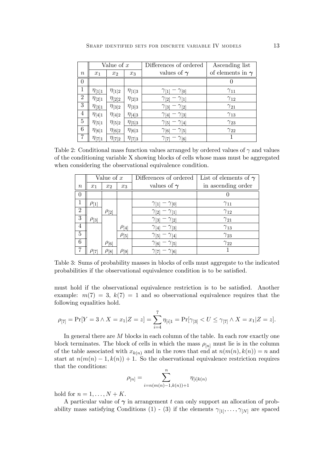|                  | Value of $x$  |               |               | Differences of ordered               | Ascending list          |  |
|------------------|---------------|---------------|---------------|--------------------------------------|-------------------------|--|
| $\boldsymbol{n}$ | $x_1$         | $x_2$         | $x_3$         | values of $\gamma$                   | of elements in $\gamma$ |  |
| $\theta$         |               |               |               |                                      | U                       |  |
| 1                | $\eta_{[1]1}$ | $\eta_{[1]2}$ | $\eta_{[1]3}$ | $\gamma_{11}$<br>$-\gamma_{[0]}$     | $\gamma_{11}$           |  |
| $\overline{2}$   | $\eta_{[2]1}$ | $\eta_{[2]2}$ | $\eta_{[2]3}$ | $\gamma_{[2]}-\gamma_{[1]}$          | $\gamma_{12}$           |  |
| $\boldsymbol{3}$ | $\eta_{[3]1}$ | $\eta_{[3]2}$ | $\eta_{[3]3}$ | $\gamma_{3} - \gamma_{2}$            | $\gamma_{21}$           |  |
| 4                | $\eta_{[4]1}$ | $\eta_{[4]2}$ | $\eta_{[4]3}$ | $\gamma_{4} - \gamma_{3}$            | $\gamma_{13}$           |  |
| $\bf 5$          | $\eta_{[5]1}$ | $\eta_{5 2}$  | $\eta_{[5]3}$ | $\gamma_{5} - \gamma_{4}$            | $\gamma_{23}$           |  |
| $\,6$            | $\eta_{[6]1}$ | $\eta_{[6]2}$ | $\eta_{[6]3}$ | $\gamma_{[6]}$<br>$ \gamma_{[5]}$    | $\gamma_{22}$           |  |
| $\overline{7}$   | $\eta_{[7]1}$ | $\eta_{[7]2}$ | $\eta_{[7]3}$ | $\gamma_{[6]}$<br>$\gamma_{\rm [7]}$ |                         |  |

Table 2: Conditional mass function values arranged by ordered values of  $\gamma$  and values of the conditioning variable X showing blocks of cells whose mass must be aggregated when considering the observational equivalence condition.

|                | Value of $x$ |                |              | Differences of ordered          | List of elements of $\gamma$ |  |
|----------------|--------------|----------------|--------------|---------------------------------|------------------------------|--|
| $\, n$         | $x_1$        | x <sub>2</sub> | $x_3$        | values of $\gamma$              | in ascending order           |  |
| U              |              |                |              |                                 |                              |  |
|                | $\rho_{[1]}$ |                |              | $\gamma_{1} - \gamma_{0}$       | $\gamma_{11}$                |  |
| $\overline{2}$ |              | $\rho_{[2]}$   |              | $\gamma_{2} - \gamma_{1}$       | $\gamma_{12}$                |  |
| 3              | $\rho_{[3]}$ |                |              | $\gamma_{3} - \gamma_{2}$       | $\gamma_{21}$                |  |
| 4              |              |                | $\rho_{[4]}$ | $\gamma_{4} - \gamma_{3}$       | $\gamma_{13}$                |  |
| $\overline{5}$ |              |                | $\rho_{[5]}$ | $\gamma_{5} - \gamma_{4}$       | $\gamma_{23}$                |  |
| 6              |              | $\rho_{[6]}$   |              | $\gamma_{6}$ - $\gamma_{5}$     | $\gamma_{22}$                |  |
| 7              | $\rho_{[7]}$ | $\rho_{[8]}$   | $\rho_{[9]}$ | $-\gamma_{[6]}$<br>$\gamma$ [7] |                              |  |

Table 3: Sums of probability masses in blocks of cells must aggregate to the indicated probabilities if the observational equivalence condition is to be satisfied.

must hold if the observational equivalence restriction is to be satisfied. Another example:  $m(7) = 3, k(7) = 1$  and so observational equivalence requires that the following equalities hold.

$$
\rho_{[7]} = \Pr[Y = 3 \land X = x_1 | Z = z] = \sum_{i=4}^{7} \eta_{[i]1} = \Pr[\gamma_{[3]} < U \le \gamma_{[7]} \land X = x_1 | Z = z].
$$

In general there are  $M$  blocks in each column of the table. In each row exactly one block terminates. The block of cells in which the mass  $\rho_{[n]}$  must lie is in the column of the table associated with  $x_{k(n)}$  and in the rows that end at  $n(m(n), k(n)) = n$  and start at  $n(m(n) - 1, k(n)) + 1$ . So the observational equivalence restriction requires that the conditions:

$$
\rho_{[n]} = \sum_{i=n(m(n)-1,k(n))+1}^{n} \eta_{[i]k(n)}
$$

hold for  $n = 1, \ldots, N + K$ .

A particular value of  $\gamma$  in arrangement t can only support an allocation of probability mass satisfying Conditions (1) - (3) if the elements  $\gamma_{1}, \ldots, \gamma_{N}$  are spaced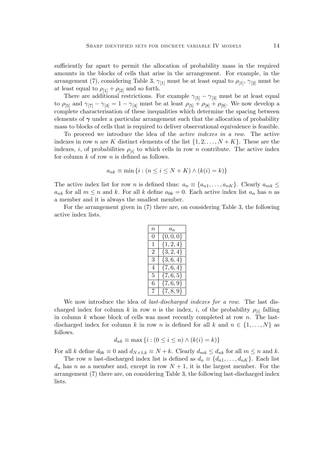sufficiently far apart to permit the allocation of probability mass in the required amounts in the blocks of cells that arise in the arrangement. For example, in the arrangement (7), considering Table 3,  $\gamma_{1}$  must be at least equal to  $\rho_{1}$ ,  $\gamma_{2}$  must be at least equal to  $\rho_{11} + \rho_{21}$  and so forth.

There are additional restrictions. For example  $\gamma_{5}$  –  $\gamma_{3}$  must be at least equal to  $\rho_{5}$  and  $\gamma_{7} - \gamma_{4} = 1 - \gamma_{4}$  must be at least  $\rho_{5} + \rho_{8} + \rho_{9}$ . We now develop a complete characterisation of these inequalities which determine the spacing between elements of  $\gamma$  under a particular arrangement such that the allocation of probability mass to blocks of cells that is required to deliver observational equivalence is feasible.

To proceed we introduce the idea of the active indexes in a row. The active indexes in row n are K distinct elements of the list  $\{1, 2, \ldots, N + K\}$ . These are the indexes, *i*, of probabilities  $\rho_{[i]}$  to which cells in row *n* contribute. The active index for column  $k$  of row  $n$  is defined as follows.

$$
a_{nk} \equiv \min\left\{i : \left(n \le i \le N + K\right) \wedge \left(k(i) = k\right)\right\}
$$

The active index list for row n is defined thus:  $a_n \equiv \{a_{n1}, \ldots, a_{nK}\}\.$  Clearly  $a_{mk} \leq$  $a_{nk}$  for all  $m \leq n$  and k. For all k define  $a_{0k} = 0$ . Each active index list  $a_n$  has n as a member and it is always the smallest member.

For the arrangement given in (7) there are, on considering Table 3, the following active index lists.

| $\it n$ | $a_n$         |
|---------|---------------|
| 0       | $\{0,0,0\}$   |
| 1       | $\{1, 2, 4\}$ |
| 2       | $\{3,2,4\}$   |
| 3       | $\{3,6,4\}$   |
| 4       | $\{7,6,4\}$   |
| 5       | $\{7,6,5\}$   |
| 6       | $\{7,6,9\}$   |
| 7       | $\{7, 8, 9\}$ |

We now introduce the idea of *last-discharged indexes for a row*. The last discharged index for column k in row n is the index, i, of the probability  $\rho_{[i]}$  falling in column  $k$  whose block of cells was most recently completed at row  $n$ . The lastdischarged index for column k in row n is defined for all k and  $n \in \{1, \ldots, N\}$  as follows.

$$
d_{nk} \equiv \max\left\{i : (0 \le i \le n) \land (k(i) = k)\right\}
$$

For all k define  $d_{0k} \equiv 0$  and  $d_{N+1,k} \equiv N+k$ . Clearly  $d_{mk} \leq d_{nk}$  for all  $m \leq n$  and k.

The row *n* last-discharged index list is defined as  $d_n \equiv \{d_{n1}, \ldots, d_{nK}\}\.$  Each list  $d_n$  has n as a member and, except in row  $N+1$ , it is the largest member. For the arrangement (7) there are, on considering Table 3, the following last-discharged index lists.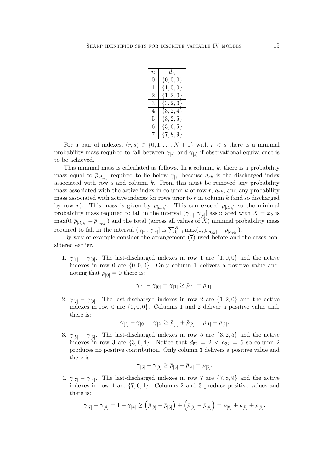| $\it n$ | $d_n$         |
|---------|---------------|
| 0       | $\{0,0,0\}$   |
| 1       | $\{1,0,0\}$   |
| 2       | $\{1, 2, 0\}$ |
| 3       | $\{3, 2, 0\}$ |
| 4       | $\{3, 2, 4\}$ |
| 5       | $\{3,2,5\}$   |
| 6       | $\{3,6,5\}$   |
| 7       | $\{7, 8, 9\}$ |

For a pair of indexes,  $(r, s) \in \{0, 1, \ldots, N + 1\}$  with  $r < s$  there is a minimal probability mass required to fall between  $\gamma_{[r]}$  and  $\gamma_{[s]}$  if observational equivalence is to be achieved.

This minimal mass is calculated as follows. In a column,  $k$ , there is a probability mass equal to  $\bar{\rho}_{[d_{sk}]}$  required to lie below  $\gamma_{[s]}$  because  $d_{sk}$  is the discharged index associated with row  $s$  and column  $k$ . From this must be removed any probability mass associated with the active index in column  $k$  of row  $r$ ,  $a_{rk}$ , and any probability mass associated with active indexes for rows prior to  $r$  in column  $k$  (and so discharged by row r). This mass is given by  $\bar{\rho}_{[a_{rk}]}$ . This can exceed  $\bar{\rho}_{[d_{sk}]}$  so the minimal probability mass required to fall in the interval  $(\gamma_{[r]}, \gamma_{[s]}]$  associated with  $X = x_k$  is  $\max(0, \bar{p}_{[d_{sk}]} - \bar{p}_{[a_{rk}]})$  and the total (across all values of X) minimal probability mass required to fall in the interval  $(\gamma_{[r]}, \gamma_{[s]}]$  is  $\sum_{k=1}^K \max(0, \bar{\rho}_{[d_{sk}]} - \bar{\rho}_{[a_{rk}]}).$ 

By way of example consider the arrangement (7) used before and the cases considered earlier.

1.  $\gamma_{11} - \gamma_{01}$ . The last-discharged indexes in row 1 are  $\{1,0,0\}$  and the active indexes in row 0 are  $\{0,0,0\}$ . Only column 1 delivers a positive value and, noting that  $\rho_{[0]} = 0$  there is:

$$
\gamma_{[1]} - \gamma_{[0]} = \gamma_{[1]} \ge \bar{\rho}_{[1]} = \rho_{[1]}.
$$

2.  $\gamma_{[2]} - \gamma_{[0]}$ . The last-discharged indexes in row 2 are  $\{1,2,0\}$  and the active indexes in row 0 are  $\{0,0,0\}$ . Columns 1 and 2 deliver a positive value and, there is:

$$
\gamma_{[2]} - \gamma_{[0]} = \gamma_{[2]} \ge \bar{\rho}_{[1]} + \bar{\rho}_{[2]} = \rho_{[1]} + \rho_{[2]}.
$$

3.  $\gamma_{5}$  –  $\gamma_{3}$ . The last-discharged indexes in row 5 are {3, 2, 5} and the active indexes in row 3 are  $\{3, 6, 4\}$ . Notice that  $d_{52} = 2 < a_{32} = 6$  so column 2 produces no positive contribution. Only column 3 delivers a positive value and there is:

$$
\gamma_{[5]} - \gamma_{[3]} \ge \bar{\rho}_{[5]} - \bar{\rho}_{[4]} = \rho_{[5]}.
$$

4.  $\gamma_{[7]} - \gamma_{[4]}$ . The last-discharged indexes in row 7 are  $\{7, 8, 9\}$  and the active indexes in row 4 are  $\{7, 6, 4\}$ . Columns 2 and 3 produce positive values and there is:

$$
\gamma_{[7]} - \gamma_{[4]} = 1 - \gamma_{[4]} \geq (\bar{\rho}_{[8]} - \bar{\rho}_{[6]}) + (\bar{\rho}_{[9]} - \bar{\rho}_{[4]}) = \rho_{[8]} + \rho_{[5]} + \rho_{[9]}.
$$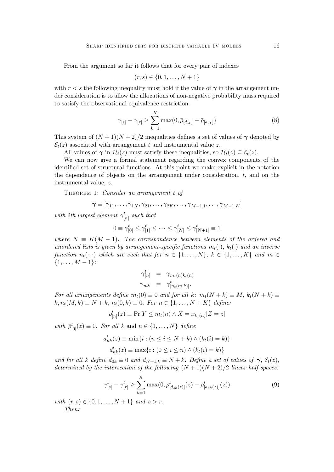From the argument so far it follows that for every pair of indexes

$$
(r,s) \in \{0, 1, \dots, N+1\}
$$

with  $r < s$  the following inequality must hold if the value of  $\gamma$  in the arrangement under consideration is to allow the allocations of non-negative probability mass required to satisfy the observational equivalence restriction.

$$
\gamma_{[s]} - \gamma_{[r]} \ge \sum_{k=1}^{K} \max(0, \bar{\rho}_{[d_{sk}]} - \bar{\rho}_{[a_{rk}]})
$$
\n(8)

This system of  $(N+1)(N+2)/2$  inequalities defines a set of values of  $\gamma$  denoted by  $\mathcal{E}_t(z)$  associated with arrangement t and instrumental value z.

All values of  $\gamma$  in  $\mathcal{H}_t(z)$  must satisfy these inequalities, so  $\mathcal{H}_t(z) \subseteq \mathcal{E}_t(z)$ .

We can now give a formal statement regarding the convex components of the identified set of structural functions. At this point we make explicit in the notation the dependence of objects on the arrangement under consideration, t, and on the instrumental value, z.

THEOREM 1: Consider an arrangement t of

$$
\boldsymbol{\gamma} \equiv [\gamma_{11}, \dots, \gamma_{1K}, \gamma_{21}, \dots, \gamma_{2K}, \dots, \gamma_{M-1,1}, \dots, \gamma_{M-1,K}]
$$

with ith largest element  $\gamma_{[n]}^t$  such that

$$
0 \equiv \gamma^t_{[0]} \le \gamma^t_{[1]} \le \cdots \le \gamma^t_{[N]} \le \gamma^t_{[N+1]} \equiv 1
$$

where  $N \equiv K(M - 1)$ . The correspondence between elements of the ordered and unordered lists is given by arrangement-specific functions  $m_t(\cdot)$ ,  $k_t(\cdot)$  and an inverse function  $n_t(\cdot, \cdot)$  which are such that for  $n \in \{1, \ldots, N\}$ ,  $k \in \{1, \ldots, K\}$  and  $m \in$  ${1, \ldots, M-1}$ :

$$
\gamma_{[n]}^t = \gamma_{m_t(n)k_t(n)} \n\gamma_{mk} = \gamma_{[n_t(m,k)]}^t.
$$

For all arrangements define  $m_t(0) \equiv 0$  and for all k:  $m_t(N+k) \equiv M$ ,  $k_t(N+k) \equiv$  $k, n_t(M, k) \equiv N + k, n_t(0, k) \equiv 0.$  For  $n \in \{1, ..., N + K\}$  define:

$$
\bar{\rho}^t_{[n]}(z) \equiv \Pr[Y \le m_t(n) \land X = x_{k_t(n)} | Z = z]
$$

with  $\bar{\rho}_{[0]}^t(z) \equiv 0$ . For all k and  $n \in \{1, \ldots, N\}$  define

$$
a_{nk}^t(z) \equiv \min\{i : (n \le i \le N + k) \land (k_t(i) = k)\}
$$

$$
d_{nk}^t(z) \equiv \max\{i : (0 \le i \le n) \land (k_t(i) = k)\}
$$

and for all k define  $d_{0k} \equiv 0$  and  $d_{N+1,k} \equiv N+k$ . Define a set of values of  $\gamma$ ,  $\mathcal{E}_t(z)$ , determined by the intersection of the following  $(N + 1)(N + 2)/2$  linear half spaces:

$$
\gamma_{[s]}^t - \gamma_{[r]}^t \ge \sum_{k=1}^K \max(0, \bar{\rho}_{[d_{sk}(z)]}^t(z) - \bar{\rho}_{[a_{rk}(z)]}^t(z))
$$
\n(9)

with  $(r, s) \in \{0, 1, \ldots, N + 1\}$  and  $s > r$ . Then: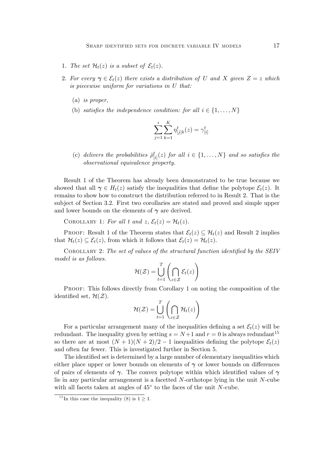- 1. The set  $\mathcal{H}_t(z)$  is a subset of  $\mathcal{E}_t(z)$ .
- 2. For every  $\gamma \in \mathcal{E}_t(z)$  there exists a distribution of U and X given  $Z = z$  which is piecewise uniform for variations in U that:
	- (a) is proper,
	- (b) satisfies the independence condition: for all  $i \in \{1, \ldots, N\}$

$$
\sum_{j=1}^{i} \sum_{k=1}^{K} \eta_{[j]k}^{t}(z) = \gamma_{[i]}^{t}
$$

(c) delivers the probabilities  $\bar{\rho}^t_{[i]}(z)$  for all  $i \in \{1, ..., N\}$  and so satisfies the observational equivalence property.

Result 1 of the Theorem has already been demonstrated to be true because we showed that all  $\gamma \in H_t(z)$  satisfy the inequalities that define the polytope  $\mathcal{E}_t(z)$ . It remains to show how to construct the distribution referred to in Result 2. That is the subject of Section 3.2. First two corollaries are stated and proved and simple upper and lower bounds on the elements of  $\gamma$  are derived.

COROLLARY 1: For all t and  $z$ ,  $\mathcal{E}_t(z) = \mathcal{H}_t(z)$ .

PROOF: Result 1 of the Theorem states that  $\mathcal{E}_t(z) \subseteq \mathcal{H}_t(z)$  and Result 2 implies that  $\mathcal{H}_t(z) \subseteq \mathcal{E}_t(z)$ , from which it follows that  $\mathcal{E}_t(z) = \mathcal{H}_t(z)$ .

COROLLARY 2: The set of values of the structural function identified by the SEIV model is as follows.

$$
\mathcal{H}(\mathcal{Z}) = \bigcup_{t=1}^T \left( \bigcap_{z \in \mathcal{Z}} \mathcal{E}_t(z) \right)
$$

Proof: This follows directly from Corollary 1 on noting the composition of the identified set,  $\mathcal{H}(\mathcal{Z})$ .

$$
\mathcal{H}(\mathcal{Z}) = \bigcup_{t=1}^T \left( \bigcap_{z \in \mathcal{Z}} \mathcal{H}_t(z) \right)
$$

For a particular arrangement many of the inequalities defining a set  $\mathcal{E}_t(z)$  will be redundant. The inequality given by setting  $s = N+1$  and  $r = 0$  is always redundant<sup>15</sup> so there are at most  $(N + 1)(N + 2)/2 - 1$  inequalities defining the polytope  $\mathcal{E}_t(z)$ and often far fewer. This is investigated further in Section 5.

The identified set is determined by a large number of elementary inequalities which either place upper or lower bounds on elements of  $\gamma$  or lower bounds on differences of pairs of elements of  $\gamma$ . The convex polytope within which identified values of  $\gamma$ lie in any particular arrangement is a facetted N-orthotope lying in the unit N-cube with all facets taken at angles of  $45^{\circ}$  to the faces of the unit N-cube.

<sup>&</sup>lt;sup>15</sup>In this case the inequality (8) is  $1 \ge 1$ .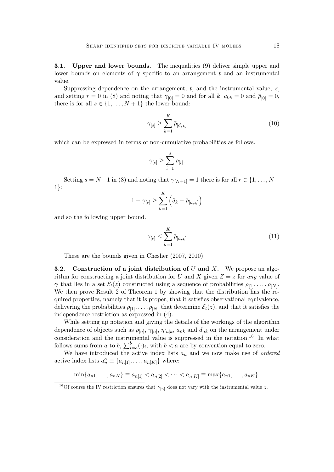**3.1.** Upper and lower bounds. The inequalities (9) deliver simple upper and lower bounds on elements of  $\gamma$  specific to an arrangement t and an instrumental value.

Suppressing dependence on the arrangement,  $t$ , and the instrumental value,  $z$ , and setting  $r = 0$  in (8) and noting that  $\gamma_{[0]} = 0$  and for all k,  $a_{0k} = 0$  and  $\bar{\rho}_{[0]} = 0$ , there is for all  $s \in \{1, \ldots, N + 1\}$  the lower bound:

$$
\gamma_{[s]} \ge \sum_{k=1}^{K} \bar{\rho}_{[d_{sk}]}
$$
\n(10)

which can be expressed in terms of non-cumulative probabilities as follows.

$$
\gamma_{[s]} \geq \sum_{i=1}^s \rho_{[i]}.
$$

Setting  $s = N+1$  in (8) and noting that  $\gamma_{[N+1]} = 1$  there is for all  $r \in \{1, \ldots, N+\}$  $1$ :

$$
1 - \gamma_{[r]} \ge \sum_{k=1}^{K} \left( \delta_k - \bar{\rho}_{[a_{rk}]} \right)
$$

and so the following upper bound.

$$
\gamma_{[r]} \le \sum_{k=1}^{K} \bar{\rho}_{[a_{rk}]}
$$
\n
$$
(11)
$$

These are the bounds given in Chesher (2007, 2010).

**3.2.** Construction of a joint distribution of  $U$  and  $X$ . We propose an algorithm for constructing a joint distribution for U and X given  $Z = z$  for any value of  $\gamma$  that lies in a set  $\mathcal{E}_t(z)$  constructed using a sequence of probabilities  $\rho_{[1]}, \ldots, \rho_{[N]}$ . We then prove Result 2 of Theorem 1 by showing that the distribution has the required properties, namely that it is proper, that it satisfies observational equivalence, delivering the probabilities  $\rho_{[1]}, \ldots, \rho_{[N]}$  that determine  $\mathcal{E}_t(z)$ , and that it satisfies the independence restriction as expressed in (4).

While setting up notation and giving the details of the workings of the algorithm dependence of objects such as  $\rho_{[n]}, \gamma_{[n]}, \eta_{[n]k}, a_{nk}$  and  $d_{nk}$  on the arrangement under consideration and the instrumental value is suppressed in the notation.<sup>16</sup> In what follows sums from a to b,  $\sum_{i=a}^{b}(\cdot)_i$ , with  $b < a$  are by convention equal to zero.

We have introduced the active index lists  $a_n$  and we now make use of *ordered* active index lists  $a_n^o \equiv \{a_{n[1]}, \ldots, a_{n[K]}\}\$  where:

$$
\min\{a_{n1},\ldots,a_{nK}\}\equiv a_{n[1]}
$$

<sup>&</sup>lt;sup>16</sup>Of course the IV restriction ensures that  $\gamma_{[n]}$  does not vary with the instrumental value z.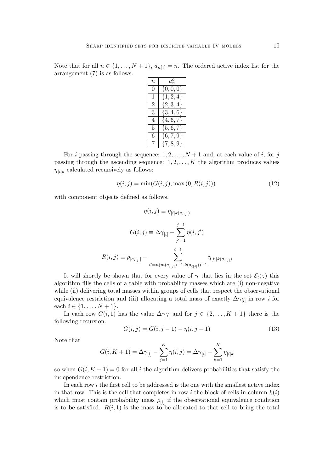Note that for all  $n \in \{1, ..., N + 1\}$ ,  $a_{n[1]} = n$ . The ordered active index list for the arrangement (7) is as follows.

| $\it n$ | $a_n^o$       |
|---------|---------------|
| 0       | $\{0,0,0\}$   |
| 1       | $\{1, 2, 4\}$ |
| 2       | $\{2, 3, 4\}$ |
| 3       | $\{3, 4, 6\}$ |
| 4       | $\{4, 6, 7\}$ |
| 5       | $\{5,6,7\}$   |
| 6       | $\{6,7,9\}$   |
| 7       | $\{7, 8, 9\}$ |

For i passing through the sequence:  $1, 2, \ldots, N+1$  and, at each value of i, for j passing through the ascending sequence:  $1, 2, \ldots, K$  the algorithm produces values  $\eta_{[i]k}$  calculated recursively as follows:

$$
\eta(i,j) = \min(G(i,j), \max(0, R(i,j))).
$$
\n(12)

with component objects defined as follows.

$$
\eta(i,j) \equiv \eta_{[i]k(a_{i[j]})}
$$

$$
G(i,j) \equiv \Delta \gamma_{[i]} - \sum_{j'=1}^{j-1} \eta(i,j')
$$

$$
R(i,j) \equiv \rho_{[a_{i[j]}]} - \sum_{i'=n(m(a_{i[j]})-1,k(a_{i[j]}))+1}^{i-1} \eta_{[i']k(a_{i[j]})}
$$

It will shortly be shown that for every value of  $\gamma$  that lies in the set  $\mathcal{E}_t(z)$  this algorithm fills the cells of a table with probability masses which are (i) non-negative while (ii) delivering total masses within groups of cells that respect the observational equivalence restriction and (iii) allocating a total mass of exactly  $\Delta\gamma_{[i]}$  in row i for each  $i \in \{1, ..., N + 1\}.$ 

In each row  $G(i, 1)$  has the value  $\Delta \gamma_{[i]}$  and for  $j \in \{2, ..., K + 1\}$  there is the following recursion.

$$
G(i,j) = G(i,j-1) - \eta(i,j-1)
$$
\n(13)

Note that

$$
G(i, K + 1) = \Delta \gamma_{[i]} - \sum_{j=1}^{K} \eta(i, j) = \Delta \gamma_{[i]} - \sum_{k=1}^{K} \eta_{[i]k}
$$

so when  $G(i, K + 1) = 0$  for all i the algorithm delivers probabilities that satisfy the independence restriction.

In each row  $i$  the first cell to be addressed is the one with the smallest active index in that row. This is the cell that completes in row i the block of cells in column  $k(i)$ which must contain probability mass  $\rho_{[i]}$  if the observational equivalence condition is to be satisfied.  $R(i,1)$  is the mass to be allocated to that cell to bring the total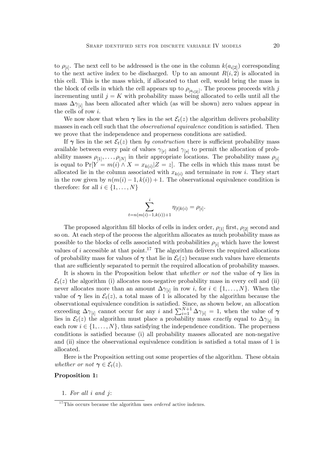to  $\rho_{[i]}$ . The next cell to be addressed is the one in the column  $k(a_{i[2]})$  corresponding to the next active index to be discharged. Up to an amount  $R(i, 2)$  is allocated in this cell. This is the mass which, if allocated to that cell, would bring the mass in the block of cells in which the cell appears up to  $\rho_{[a_{i[2]}]}$ . The process proceeds with j incrementing until  $j = K$  with probability mass being allocated to cells until all the mass  $\Delta\gamma_{ii}$  has been allocated after which (as will be shown) zero values appear in the cells of row i.

We now show that when  $\gamma$  lies in the set  $\mathcal{E}_t(z)$  the algorithm delivers probability masses in each cell such that the *observational equivalence* condition is satisfied. Then we prove that the independence and properness conditions are satisfied.

If  $\gamma$  lies in the set  $\mathcal{E}_t(z)$  then by construction there is sufficient probability mass available between every pair of values  $\gamma_{[r]}$  and  $\gamma_{[s]}$  to permit the allocation of probability masses  $\rho_{[1]}, \ldots, \rho_{[N]}$  in their appropriate locations. The probability mass  $\rho_{[i]}$ is equal to  $Pr[Y = m(i) \land X = x_{k(i)} | Z = z]$ . The cells in which this mass must be allocated lie in the column associated with  $x_{k(i)}$  and terminate in row i. They start in the row given by  $n(m(i) - 1, k(i)) + 1$ . The observational equivalence condition is therefore: for all  $i \in \{1, \ldots, N\}$ 

$$
\sum_{t=n(m(i)-1,k(i))+1}^{i} \eta_{[t]k(i)} = \rho_{[i]}.
$$

The proposed algorithm fill blocks of cells in index order,  $\rho_{1}$  first,  $\rho_{2}$  second and so on. At each step of the process the algorithm allocates as much probability mass as possible to the blocks of cells associated with probabilities  $\rho_{[i]}$  which have the lowest values of i accessible at that point.<sup>17</sup> The algorithm delivers the required allocations of probability mass for values of  $\gamma$  that lie in  $\mathcal{E}_t(z)$  because such values have elements that are sufficiently separated to permit the required allocation of probability masses.

It is shown in the Proposition below that *whether or not* the value of  $\gamma$  lies in  $\mathcal{E}_t(z)$  the algorithm (i) allocates non-negative probability mass in every cell and (ii) never allocates more than an amount  $\Delta \gamma_{[i]}$  in row *i*, for  $i \in \{1, \ldots, N\}$ . When the value of  $\gamma$  lies in  $\mathcal{E}_t(z)$ , a total mass of 1 is allocated by the algorithm because the observational equivalence condition is satisfied. Since, as shown below, an allocation exceeding  $\Delta\gamma_{[i]}$  cannot occur for any i and  $\sum_{i=1}^{N+1} \Delta\gamma_{[i]} = 1$ , when the value of  $\gamma$ lies in  $\mathcal{E}_t(z)$  the algorithm must place a probability mass exactly equal to  $\Delta\gamma_{[i]}$  in each row  $i \in \{1, \ldots, N\}$ , thus satisfying the independence condition. The properness conditions is satisfied because (i) all probability masses allocated are non-negative and (ii) since the observational equivalence condition is satisfied a total mass of 1 is allocated.

Here is the Proposition setting out some properties of the algorithm. These obtain whether or not  $\gamma \in \mathcal{E}_t(z)$ .

## Proposition 1:

1. For all i and j:

 $17$ This occurs because the algorithm uses *ordered* active indexes.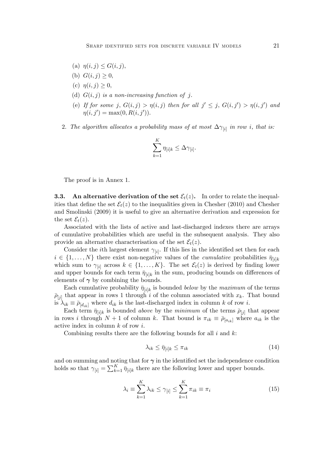- (a)  $\eta(i, j) \le G(i, j),$
- (b)  $G(i, j) \geq 0$ ,
- (c)  $\eta(i, j) \geq 0$ ,
- (d)  $G(i, j)$  is a non-increasing function of j.
- (e) If for some j,  $G(i, j) > \eta(i, j)$  then for all  $j' \leq j$ ,  $G(i, j') > \eta(i, j')$  and  $\eta(i, j') = \max(0, R(i, j')).$
- 2. The algorithm allocates a probability mass of at most  $\Delta\gamma_{[i]}$  in row i, that is:

$$
\sum_{k=1}^K \eta_{[i]k} \leq \Delta \gamma_{[i]}.
$$

The proof is in Annex 1.

**3.3.** An alternative derivation of the set  $\mathcal{E}_t(z)$ . In order to relate the inequalities that define the set  $\mathcal{E}_t(z)$  to the inequalities given in Chesher (2010) and Chesher and Smolinski (2009) it is useful to give an alternative derivation and expression for the set  $\mathcal{E}_t(z)$ .

Associated with the lists of active and last-discharged indexes there are arrays of cumulative probabilities which are useful in the subsequent analysis. They also provide an alternative characterisation of the set  $\mathcal{E}_t(z)$ .

Consider the *i*<sup>th</sup> largest element  $\gamma_{[i]}$ . If this lies in the identified set then for each  $i \in \{1, \ldots, N\}$  there exist non-negative values of the *cumulative* probabilities  $\bar{\eta}_{\{i\}k}$ which sum to  $\gamma_{[i]}$  across  $k \in \{1, ..., K\}$ . The set  $\mathcal{E}_t(z)$  is derived by finding lower and upper bounds for each term  $\bar{\eta}_{[i]k}$  in the sum, producing bounds on differences of elements of  $\gamma$  by combining the bounds.

Each cumulative probability  $\bar{\eta}_{[i]k}$  is bounded *below* by the *maximum* of the terms  $\bar{p}_{[j]}$  that appear in rows 1 through i of the column associated with  $x_k$ . That bound is  $\lambda_{ik} \equiv \bar{\rho}_{d_{ik}}$  where  $d_{ik}$  is the last-discharged index in column k of row i.

Each term  $\bar{\eta}_{[i]k}$  is bounded *above* by the *minimum* of the terms  $\bar{\rho}_{[j]}$  that appear in rows i through  $N + 1$  of column k. That bound is  $\pi_{ik} \equiv \bar{\rho}_{[a_{ik}]}$  where  $a_{ik}$  is the active index in column  $k$  of row  $i$ .

Combining results there are the following bounds for all  $i$  and  $k$ :

$$
\lambda_{ik} \le \bar{\eta}_{[i]k} \le \pi_{ik} \tag{14}
$$

and on summing and noting that for  $\gamma$  in the identified set the independence condition holds so that  $\gamma_{[i]} = \sum_{k=1}^{K} \bar{\eta}_{[i]k}$  there are the following lower and upper bounds.

$$
\lambda_i \equiv \sum_{k=1}^K \lambda_{ik} \le \gamma_{[i]} \le \sum_{k=1}^K \pi_{ik} \equiv \pi_i \tag{15}
$$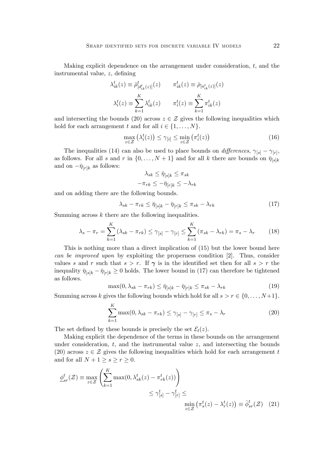Making explicit dependence on the arrangement under consideration,  $t$ , and the instrumental value,  $z$ , defining

$$
\lambda_{ik}^t(z) \equiv \bar{\rho}_{[d_{ik}^t(z)]}^t(z) \qquad \pi_{ik}^t(z) \equiv \bar{\rho}_{[a_{ik}^t(z)]}(z)
$$

$$
\lambda_i^t(z) \equiv \sum_{k=1}^K \lambda_{ik}^t(z) \qquad \pi_i^t(z) \equiv \sum_{k=1}^K \pi_{ik}^t(z)
$$

and intersecting the bounds (20) across  $z \in \mathcal{Z}$  gives the following inequalities which hold for each arrangement t and for all  $i \in \{1, \ldots, N\}$ .

$$
\max_{z \in \mathcal{Z}} \left( \lambda_i^t(z) \right) \le \gamma_{[i]} \le \min_{z \in \mathcal{Z}} \left( \pi_i^t(z) \right) \tag{16}
$$

The inequalities (14) can also be used to place bounds on *differences*,  $\gamma_{[s]} - \gamma_{[r]},$ as follows. For all s and r in  $\{0, \ldots, N+1\}$  and for all k there are bounds on  $\bar{\eta}_{[s]k}$ and on  $-\bar{\eta}_{[r]k}$  as follows:

$$
\lambda_{sk} \leq \bar{\eta}_{[s]k} \leq \pi_{sk}
$$

$$
-\pi_{rk} \leq -\bar{\eta}_{[r]k} \leq -\lambda_{rk}
$$

and on adding there are the following bounds.

$$
\lambda_{sk} - \pi_{rk} \leq \bar{\eta}_{[s]k} - \bar{\eta}_{[r]k} \leq \pi_{sk} - \lambda_{rk} \tag{17}
$$

Summing across  $k$  there are the following inequalities.

$$
\lambda_s - \pi_r = \sum_{k=1}^K \left( \lambda_{sk} - \pi_{rk} \right) \le \gamma_{[s]} - \gamma_{[r]} \le \sum_{k=1}^K \left( \pi_{sk} - \lambda_{rk} \right) = \pi_s - \lambda_r \tag{18}
$$

This is nothing more than a direct implication of (15) but the lower bound here can be improved upon by exploiting the properness condition [2]. Thus, consider values s and r such that  $s > r$ . If  $\gamma$  is in the identified set then for all  $s > r$  the inequality  $\bar{\eta}_{[s]k} - \bar{\eta}_{[r]k} \ge 0$  holds. The lower bound in (17) can therefore be tightened as follows.

$$
\max(0, \lambda_{sk} - \pi_{rk}) \le \bar{\eta}_{[s]k} - \bar{\eta}_{[r]k} \le \pi_{sk} - \lambda_{rk} \tag{19}
$$

Summing across k gives the following bounds which hold for all  $s > r \in \{0, \ldots, N+1\}.$ 

$$
\sum_{k=1}^{K} \max(0, \lambda_{sk} - \pi_{rk}) \le \gamma_{[s]} - \gamma_{[r]} \le \pi_s - \lambda_r \tag{20}
$$

The set defined by these bounds is precisely the set  $\mathcal{E}_t(z)$ .

Making explicit the dependence of the terms in these bounds on the arrangement under consideration,  $t$ , and the instrumental value  $z$ , and intersecting the bounds (20) across  $z \in \mathcal{Z}$  gives the following inequalities which hold for each arrangement t and for all  $N + 1 \geq s \geq r \geq 0$ .

$$
\underline{\phi}_{sr}^{t}(\mathcal{Z}) \equiv \max_{z \in \mathcal{Z}} \left( \sum_{k=1}^{K} \max(0, \lambda_{sk}^{t}(z) - \pi_{rk}^{t}(z)) \right) \n\leq \gamma_{[s]}^{t} - \gamma_{[r]}^{t} \leq \n\min_{z \in \mathcal{Z}} \left( \pi_{s}^{t}(z) - \lambda_{r}^{t}(z) \right) \equiv \bar{\phi}_{sr}^{t}(\mathcal{Z}) \quad (21)
$$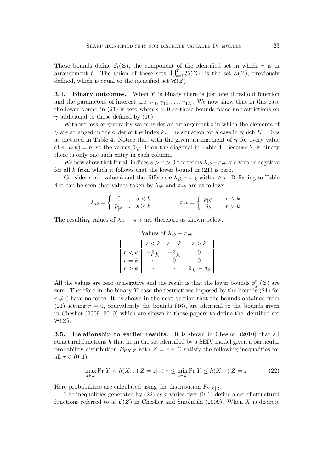These bounds define  $\mathcal{E}_t(\mathcal{Z})$ , the component of the identified set in which  $\gamma$  is in arrangement t. The union of these sets,  $\bigcup_{t=1}^{T} \mathcal{E}_t(\mathcal{Z})$ , is the set  $\mathcal{E}(\mathcal{Z})$ , previously defined, which is equal to the identified set  $\mathcal{H}(\mathcal{Z})$ .

**3.4. Binary outcomes.** When  $Y$  is binary there is just one threshold function and the parameters of interest are  $\gamma_{11}, \gamma_{12}, \ldots, \gamma_{1K}$ . We now show that in this case the lower bound in (21) is zero when  $s > 0$  so these bounds place no restrictions on  $\gamma$  additional to those defined by (16).

Without loss of generality we consider an arrangement  $t$  in which the elements of  $\gamma$  are arranged in the order of the index k. The situation for a case in which  $K = 6$  is as pictured in Table 4. Notice that with the given arrangement of  $\gamma$  for every value of  $n, k(n) = n$ , so the values  $\overline{\rho}_{[n]}$  lie on the diagonal in Table 4. Because Y is binary there is only one such entry in each column.

We now show that for all indices  $s > r > 0$  the terms  $\lambda_{sk} - \pi_{rk}$  are zero or negative for all  $k$  from which it follows that the lower bound in  $(21)$  is zero.

Consider some value k and the difference  $\lambda_{sk} - \pi_{rk}$  with  $s \geq r$ . Referring to Table 4 it can be seen that values taken by  $\lambda_{sk}$  and  $\pi_{rk}$  are as follows.

$$
\lambda_{sk} = \left\{ \begin{array}{ccc} 0 & , & s < k \\ \bar{\rho}_{[k]} & , & s \geq k \end{array} \right. \qquad \qquad \pi_{rk} = \left\{ \begin{array}{ccc} \bar{\rho}_{[k]} & , & r \leq k \\ \delta_k & , & r > k \end{array} \right.
$$

The resulting values of  $\lambda_{sk} - \pi_{rk}$  are therefore as shown below.

 $s < k \mid s = k \mid s > k$  $\begin{array}{c|c|c|c} r < k & -\bar{\rho}_{[k]} & -\bar{\rho}_{[k]} & 0 \end{array}$  $r = k \quad * \quad 0 \quad 0$  $r > k \parallel * \parallel * \parallel \bar{\rho}_{[k]} - \delta_k$ 

Values of  $\lambda_{sk} - \pi_{rk}$ 

All the values are zero or negative and the result is that the lower bounds  $\phi^t$  $\mathcal{E}_{sr}^{t}(\mathcal{Z})$  are zero. Therefore in the binary Y case the restrictions imposed by the bounds  $(21)$  for  $r \neq 0$  have no force. It is shown in the next Section that the bounds obtained from (21) setting  $r = 0$ , equivalently the bounds (16), are identical to the bounds given in Chesher  $(2009, 2010)$  which are shown in those papers to define the identified set  $\mathcal{H}(\mathcal{Z}).$ 

**3.5. Relationship to earlier results.** It is shown in Chesher (2010) that all structural functions  $h$  that lie in the set identified by a SEIV model given a particular probability distribution  $F_{YX|Z}$  with  $Z = z \in \mathcal{Z}$  satisfy the following inequalities for all  $\tau \in (0, 1)$ .

$$
\max_{z \in \mathcal{Z}} \Pr[Y < h(X, \tau) | Z = z] < \tau \le \min_{z \in \mathcal{Z}} \Pr[Y \le h(X, \tau) | Z = z] \tag{22}
$$

Here probabilities are calculated using the distribution  $F_{YX|Z}$ .

The inequalities generated by (22) as  $\tau$  varies over  $(0,1)$  define a set of structural functions referred to as  $\mathcal{C}(Z)$  in Chesher and Smolinski (2009). When X is discrete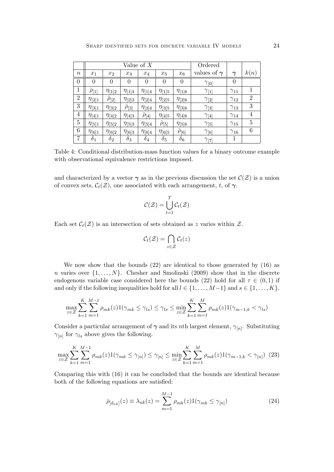|                  |                    |                  | Value of $X$     | Ordered          |                    |                    |                    |               |                |
|------------------|--------------------|------------------|------------------|------------------|--------------------|--------------------|--------------------|---------------|----------------|
| $\boldsymbol{n}$ | $x_1$              | $x_2$            | $x_3$            | $x_4$            | $x_5$              | $x_6$              | values of $\gamma$ | $\gamma$      | k(n)           |
| $\overline{0}$   | $\overline{0}$     | $\overline{0}$   | $\overline{0}$   | $\overline{0}$   | $\overline{0}$     | $\overline{0}$     | $\gamma_{[0]}$     | $\theta$      |                |
| $\mathbf 1$      | $\bar{\rho}_{[1]}$ | $\eta_{[1]2}$    | $\eta_{[1]3}$    | $\eta_{[1]4}$    | $\eta_{[1]5}$      | $\eta_{[1]6}$      | $\gamma_{11}$      | $\gamma_{11}$ | 1              |
| $\overline{2}$   | $\eta_{[2]1}$      | $\bar\rho_{[2]}$ | $\eta_{[2]3}$    | $\eta_{[2]4}$    | $\eta_{[2]5}$      | $\eta_{[2]6}$      | $\gamma_{2}$       | $\gamma_{12}$ | $\overline{2}$ |
| $\boldsymbol{3}$ | $\eta_{[3]1}$      | $\eta_{[3]2}$    | $\bar{\rho}_{3}$ | $\eta_{[3]4}$    | $\eta_{[3]5}$      | $\eta_{[3]6}$      | $\gamma_{3}$       | $\gamma_{13}$ | 3              |
| $\overline{4}$   | $\eta_{[4]1}$      | $\eta_{[4]2}$    | $\eta_{[4]3}$    | $\bar\rho_{[4]}$ | $\eta_{[4]5}$      | $\eta_{[4]6}$      | $\gamma_{[4]}$     | $\gamma_{14}$ | $\overline{4}$ |
| $\bf 5$          | $\eta_{5 1}$       | $\eta_{[5]2}$    | $\eta_{[5]3}$    | $\eta_{[5]4}$    | $\bar{\rho}_{[5]}$ | $\eta_{[5]6}$      | $\gamma_{5}$       | $\gamma_{15}$ | 5              |
| 6                | $\eta_{[6]1}$      | $\eta_{[6]2}$    | $\eta_{[6]3}$    | $\eta_{[6]4}$    | $\eta_{[6]5}$      | $\bar{\rho}_{[6]}$ | $\gamma_{6}$       | $\gamma_{16}$ | 6              |
| 7                | $\delta_1$         | $\delta_2$       | $\delta_3$       | $\delta_4$       | $\delta_5$         | $\delta_6$         | $\gamma_{[7]}$     | 1             |                |

Table 4: Conditional distribution-mass function values for a binary outcome example with observational equivalence restrictions imposed.

and characterized by a vector  $\gamma$  as in the previous discussion the set  $\mathcal{C}(Z)$  is a union of convex sets,  $C_t(\mathcal{Z})$ , one associated with each arrangement, t, of  $\gamma$ .

$$
\mathcal{C}(\mathcal{Z}) = \bigcup_{t=1}^T \mathcal{C}_t(\mathcal{Z})
$$

Each set  $\mathcal{C}_t(\mathcal{Z})$  is an intersection of sets obtained as z varies within  $\mathcal{Z}$ .

$$
\mathcal{C}_t(\mathcal{Z}) = \bigcap_{z \in \mathcal{Z}} \mathcal{C}_t(z)
$$

We now show that the bounds  $(22)$  are identical to those generated by  $(16)$  as n varies over  $\{1, \ldots, N\}$ . Chesher and Smolinski (2009) show that in the discrete endogenous variable case considered here the bounds (22) hold for all  $\tau \in (0,1)$  if and only if the following inequalities hold for all  $l \in \{1, \ldots, M-1\}$  and  $s \in \{1, \ldots, K\}$ .

$$
\max_{z \in \mathcal{Z}} \sum_{k=1}^{K} \sum_{m=1}^{M-1} \rho_{mk}(z) \mathbf{1}(\gamma_{mk} \le \gamma_{ls}) \le \gamma_{ls} \le \min_{z \in \mathcal{Z}} \sum_{k=1}^{K} \sum_{m=1}^{M} \rho_{mk}(z) \mathbf{1}(\gamma_{m-1,k} < \gamma_{ls})
$$

Consider a particular arrangement of  $\gamma$  and its nth largest element,  $\gamma_{[n]}$ . Substituting  $\gamma_{[n]}$  for  $\gamma_{ls}$  above gives the following.

$$
\max_{z \in \mathcal{Z}} \sum_{k=1}^{K} \sum_{m=1}^{M-1} \rho_{mk}(z) 1(\gamma_{mk} \le \gamma_{[n]}) \le \gamma_{[n]} \le \min_{z \in \mathcal{Z}} \sum_{k=1}^{K} \sum_{m=1}^{M} \rho_{mk}(z) 1(\gamma_{m-1,k} < \gamma_{[n]}) \tag{23}
$$

Comparing this with (16) it can be concluded that the bounds are identical because both of the following equations are satisfied:

$$
\bar{\rho}_{[d_{nk}]}(z) \equiv \lambda_{nk}(z) = \sum_{m=1}^{M-1} \rho_{mk}(z) 1(\gamma_{mk} \le \gamma_{[n]})
$$
\n(24)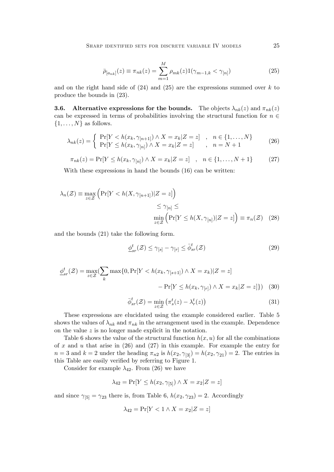$$
\bar{\rho}_{[a_{nk}]}(z) \equiv \pi_{nk}(z) = \sum_{m=1}^{M} \rho_{mk}(z) 1(\gamma_{m-1,k} < \gamma_{[n]}) \tag{25}
$$

and on the right hand side of  $(24)$  and  $(25)$  are the expressions summed over k to produce the bounds in (23).

**3.6.** Alternative expressions for the bounds. The objects  $\lambda_{nk}(z)$  and  $\pi_{nk}(z)$ can be expressed in terms of probabilities involving the structural function for  $n \in$  $\{1, \ldots, N\}$  as follows.

$$
\lambda_{nk}(z) = \begin{cases} \Pr[Y < h(x_k, \gamma_{[n+1]}) \land X = x_k | Z = z] < n \in \{1, \dots, N\} \\ \Pr[Y \le h(x_k, \gamma_{[n]}) \land X = x_k | Z = z] < n = N + 1 \end{cases} \tag{26}
$$

$$
\pi_{nk}(z) = \Pr[Y \le h(x_k, \gamma_{[n]}) \land X = x_k | Z = z] , n \in \{1, ..., N+1\}
$$
 (27)

With these expressions in hand the bounds  $(16)$  can be written:

$$
\lambda_n(\mathcal{Z}) \equiv \max_{z \in \mathcal{Z}} \left( \Pr[Y < h(X, \gamma_{[n+1]}) | Z = z] \right) \\
 \leq \gamma_{[n]} \leq \\
 \min_{z \in \mathcal{Z}} \left( \Pr[Y \leq h(X, \gamma_{[n]}) | Z = z] \right) \equiv \pi_n(\mathcal{Z}) \tag{28}
$$

and the bounds (21) take the following form.

$$
\underline{\phi}_{sr}^t(\mathcal{Z}) \le \gamma_{[s]} - \gamma_{[r]} \le \bar{\phi}_{sr}^t(\mathcal{Z}) \tag{29}
$$

$$
\underline{\phi}_{sr}^t(\mathcal{Z}) = \max_{z \in \mathcal{Z}} \{ \sum_k \max\{0, \Pr[Y < h(x_k, \gamma_{[s+1]}) \land X = x_k | Z = z] - \Pr[Y \le h(x_k, \gamma_{[r]}) \land X = x_k | Z = z] \}) \tag{30}
$$

$$
\bar{\phi}_{sr}^t(\mathcal{Z}) = \min_{z \in \mathcal{Z}} \left( \pi_s^t(z) - \lambda_r^t(z) \right) \tag{31}
$$

These expressions are elucidated using the example considered earlier. Table 5 shows the values of  $\lambda_{nk}$  and  $\pi_{nk}$  in the arrangement used in the example. Dependence on the value  $z$  is no longer made explicit in the notation.

Table 6 shows the value of the structural function  $h(x, u)$  for all the combinations of x and u that arise in  $(26)$  and  $(27)$  in this example. For example the entry for  $n=3$  and  $k=2$  under the heading  $\pi_{n2}$  is  $h(x_2, \gamma_{[3]}) = h(x_2, \gamma_{[2]}) = 2$ . The entries in this Table are easily verified by referring to Figure 1.

Consider for example  $\lambda_{42}$ . From (26) we have

$$
\lambda_{42} = \Pr[Y \le h(x_2, \gamma_{[5]}) \land X = x_2 | Z = z]
$$

and since  $\gamma_{5} = \gamma_{23}$  there is, from Table 6,  $h(x_2, \gamma_{23}) = 2$ . Accordingly

$$
\lambda_{42} = \Pr[Y < 1 \land X = x_2 | Z = z]
$$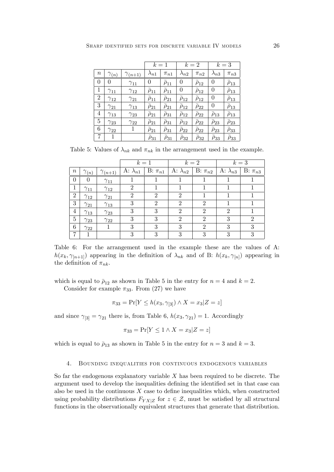|                  |                |                  |                   | $k=1$             |                   | $k=2$             |                 | $k=3$           |
|------------------|----------------|------------------|-------------------|-------------------|-------------------|-------------------|-----------------|-----------------|
| $\boldsymbol{n}$ | $\gamma_{(n)}$ | $\gamma_{(n+1)}$ | $\lambda_{n1}$    | $\pi_{n1}$        | $\lambda_{n2}$    | $\pi_{n2}$        | $\lambda_{n3}$  | $\pi_{n3}$      |
| $\theta$         | 0              | $\gamma_{11}$    | 0                 | $\bar\rho_{11}$   | 0                 | $\bar\rho_{12}$   | 0               | $\bar\rho_{13}$ |
| 1                | $\gamma_{11}$  | $\gamma_{12}$    | $\bar\rho_{11}$   | $\bar\rho_{11}$   | 0                 | $\bar\rho_{12}$   | 0               | $\bar\rho_{13}$ |
| $\overline{2}$   | $\gamma_{12}$  | $\gamma_{21}$    | $\bar{\rho}_{11}$ | $\bar{\rho}_{21}$ | $\bar\rho_{12}$   | $\bar{\rho}_{12}$ | $\overline{0}$  | $\bar\rho_{13}$ |
| 3                | $\gamma_{21}$  | $\gamma_{13}$    | $\rho_{21}$       | $\bar\rho_{21}$   | $\bar\rho_{12}$   | $\bar\rho_{22}$   | 0               | $\bar\rho_{13}$ |
| 4                | $\gamma_{13}$  | $\gamma_{23}$    | $\bar{\rho}_{21}$ | $\bar\rho_{31}$   | $\bar\rho_{12}$   | $\bar\rho_{22}$   | $\rho_{13}$     | $\bar\rho_{13}$ |
| $\overline{5}$   | $\gamma_{23}$  | $\gamma_{22}$    | $\bar\rho_{21}$   | $\bar{\rho}_{31}$ | $\bar{\rho}_{12}$ | $\bar{\rho}_{22}$ | $\bar\rho_{23}$ | $\bar\rho_{23}$ |
| 6                | $\gamma_{22}$  | 1                | $\bar\rho_{21}$   | $\bar\rho_{31}$   | $\bar{\rho}_{22}$ | $\bar{\rho}_{22}$ | $\bar\rho_{23}$ | $\bar\rho_{33}$ |
| 7                | 1              |                  | $\rho_{31}$       | $\rho_{31}$       | $\rho_{32}$       | $\bar\rho_{32}$   | $\rho_{33}$     | $\rho_{33}$     |

Table 5: Values of  $\lambda_{nk}$  and  $\pi_{nk}$  in the arrangement used in the example.

|                  |                |                  | $k=1$             |                |                                   | $k=2$                       | $k=3$             |                |
|------------------|----------------|------------------|-------------------|----------------|-----------------------------------|-----------------------------|-------------------|----------------|
| $\boldsymbol{n}$ | $\gamma_{(n)}$ | $\gamma_{(n+1)}$ | A: $\lambda_{n1}$ | $B: \pi_{n1}$  | A: $\lambda_{n2}$   B: $\pi_{n2}$ |                             | A: $\lambda_{n3}$ | $B: \pi_{n3}$  |
| $\theta$         | $\theta$       | $\gamma_{11}$    |                   |                |                                   |                             |                   |                |
| 1                | $\gamma_{11}$  | $\gamma_{12}$    | $\overline{2}$    |                |                                   |                             |                   |                |
| $\overline{2}$   | $\gamma_{12}$  | $\gamma_{21}$    | $\overline{2}$    | 2              | $\overline{2}$                    |                             |                   |                |
| 3                | $\gamma_{21}$  | $\gamma_{13}$    | 3                 | $\mathfrak{D}$ | $\mathfrak{D}$                    | $\mathfrak{D}$              |                   |                |
| $\overline{4}$   | $\gamma_{13}$  | $\gamma_{23}$    | 3                 | 3              | $\mathfrak{D}$                    | $\mathcal{D}_{\mathcal{L}}$ | $\mathfrak{D}$    |                |
| $\mathbf 5$      | $\gamma_{23}$  | $\gamma_{22}$    | 3                 | 3              | $\mathfrak{D}$                    | $\mathfrak{D}$              | 3                 | $\overline{2}$ |
| 6                | $\gamma_{22}$  |                  | 3                 | 3              | 3                                 | $\mathfrak{D}$              | 3                 | 3              |
| 7                |                |                  | 3                 | 3              | 3                                 | 3                           | 3                 | 3              |

Table 6: For the arrangement used in the example these are the values of A:  $h(x_k, \gamma_{[n+1]})$  appearing in the definition of  $\lambda_{nk}$  and of B:  $h(x_k, \gamma_{[n]})$  appearing in the definition of  $\pi_{nk}$ .

which is equal to  $\bar{\rho}_{12}$  as shown in Table 5 in the entry for  $n = 4$  and  $k = 2$ .

Consider for example  $\pi_{33}$ . From (27) we have

$$
\pi_{33} = \Pr[Y \le h(x_3, \gamma_{33}) \land X = x_3 | Z = z]
$$

and since  $\gamma_{3} = \gamma_{21}$  there is, from Table 6,  $h(x_3, \gamma_{21}) = 1$ . Accordingly

$$
\pi_{33} = \Pr[Y \le 1 \land X = x_3 | Z = z]
$$

which is equal to  $\bar{\rho}_{13}$  as shown in Table 5 in the entry for  $n = 3$  and  $k = 3$ .

#### 4. Bounding inequalities for continuous endogenous variables

So far the endogenous explanatory variable  $X$  has been required to be discrete. The argument used to develop the inequalities defining the identified set in that case can also be used in the continuous  $X$  case to define inequalities which, when constructed using probability distributions  $F_{YX|Z}$  for  $z \in \mathcal{Z}$ , must be satisfied by all structural functions in the observationally equivalent structures that generate that distribution.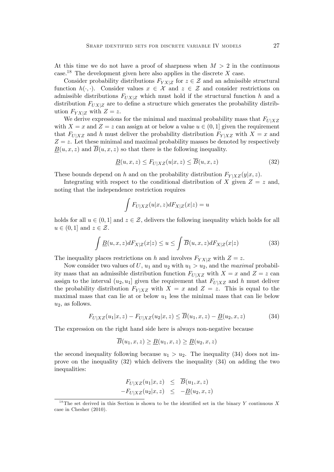At this time we do not have a proof of sharpness when  $M > 2$  in the continuous case.<sup>18</sup> The development given here also applies in the discrete X case.

Consider probability distributions  $F_{YX|Z}$  for  $z \in \mathcal{Z}$  and an admissible structural function  $h(\cdot, \cdot)$ . Consider values  $x \in \mathcal{X}$  and  $z \in \mathcal{Z}$  and consider restrictions on admissible distributions  $F_{UX|Z}$  which must hold if the structural function h and a distribution  $F_{UX|Z}$  are to define a structure which generates the probability distribution  $F_{YX|Z}$  with  $Z = z$ .

We derive expressions for the minimal and maximal probability mass that  $F_{U|XZ}$ with  $X = x$  and  $Z = z$  can assign at or below a value  $u \in (0, 1]$  given the requirement that  $F_{U|XZ}$  and h must deliver the probability distribution  $F_{Y|XZ}$  with  $X = x$  and  $Z = z$ . Let these minimal and maximal probability masses be denoted by respectively  $B(u, x, z)$  and  $B(u, x, z)$  so that there is the following inequality.

$$
\underline{B}(u,x,z) \le F_{U|XZ}(u|x,z) \le \overline{B}(u,x,z) \tag{32}
$$

These bounds depend on h and on the probability distribution  $F_{Y|XZ}(y|x, z)$ .

Integrating with respect to the conditional distribution of X given  $Z = z$  and, noting that the independence restriction requires

$$
\int F_{U|XZ}(u|x,z)dF_{X|Z}(x|z) = u
$$

holds for all  $u \in (0, 1]$  and  $z \in \mathcal{Z}$ , delivers the following inequality which holds for all  $u \in (0, 1]$  and  $z \in \mathcal{Z}$ .

$$
\int \underline{B}(u,x,z)dF_{X|Z}(x|z) \le u \le \int \overline{B}(u,x,z)dF_{X|Z}(x|z)
$$
\n(33)

The inequality places restrictions on h and involves  $F_{YX|Z}$  with  $Z = z$ .

Now consider two values of U,  $u_1$  and  $u_2$  with  $u_1 > u_2$ , and the *maximal* probability mass that an admissible distribution function  $F_{U|XZ}$  with  $X = x$  and  $Z = z$  can assign to the interval  $(u_2, u_1]$  given the requirement that  $F_{U|XZ}$  and h must deliver the probability distribution  $F_{Y|XZ}$  with  $X = x$  and  $Z = z$ . This is equal to the maximal mass that can lie at or below  $u_1$  less the minimal mass that can lie below  $u_2$ , as follows.

$$
F_{U|XZ}(u_1|x,z) - F_{U|XZ}(u_2|x,z) \le \overline{B}(u_1,x,z) - \underline{B}(u_2,x,z)
$$
(34)

The expression on the right hand side here is always non-negative because

$$
B(u_1, x, z) \ge \underline{B}(u_1, x, z) \ge \underline{B}(u_2, x, z)
$$

the second inequality following because  $u_1 > u_2$ . The inequality (34) does not improve on the inequality (32) which delivers the inequality (34) on adding the two inequalities:

$$
F_{U|XZ}(u_1|x,z) \leq B(u_1,x,z) -F_{U|XZ}(u_2|x,z) \leq -\underline{B}(u_2,x,z)
$$

<sup>&</sup>lt;sup>18</sup>The set derived in this Section is shown to be the identified set in the binary Y continuous X case in Chesher (2010).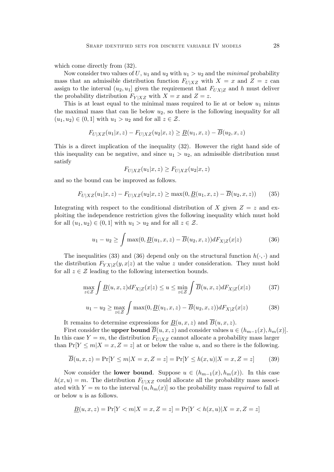which come directly from  $(32)$ .

Now consider two values of U,  $u_1$  and  $u_2$  with  $u_1 > u_2$  and the minimal probability mass that an admissible distribution function  $F_{U|XZ}$  with  $X = x$  and  $Z = z$  can assign to the interval  $(u_2, u_1]$  given the requirement that  $F_{UX|Z}$  and h must deliver the probability distribution  $F_{Y|XZ}$  with  $X = x$  and  $Z = z$ .

This is at least equal to the minimal mass required to lie at or below  $u_1$  minus the maximal mass that can lie below  $u_2$ , so there is the following inequality for all  $(u_1, u_2) \in (0, 1]$  with  $u_1 > u_2$  and for all  $z \in \mathcal{Z}$ .

$$
F_{U|XZ}(u_1|x,z) - F_{U|XZ}(u_2|x,z) \ge \underline{B}(u_1,x,z) - \overline{B}(u_2,x,z)
$$

This is a direct implication of the inequality (32). However the right hand side of this inequality can be negative, and since  $u_1 > u_2$ , an admissible distribution must satisfy

$$
F_{U|XZ}(u_1|x,z) \ge F_{U|XZ}(u_2|x,z)
$$

and so the bound can be improved as follows.

$$
F_{U|XZ}(u_1|x,z) - F_{U|XZ}(u_2|x,z) \ge \max(0, \underline{B}(u_1,x,z) - \overline{B}(u_2,x,z))
$$
 (35)

Integrating with respect to the conditional distribution of X given  $Z = z$  and exploiting the independence restriction gives the following inequality which must hold for all  $(u_1, u_2) \in (0, 1]$  with  $u_1 > u_2$  and for all  $z \in \mathcal{Z}$ .

$$
u_1 - u_2 \ge \int \max(0, \underline{B}(u_1, x, z) - \overline{B}(u_2, x, z)) dF_{X|Z}(x|z)
$$
(36)

The inequalities (33) and (36) depend only on the structural function  $h(\cdot, \cdot)$  and the distribution  $F_{YX|Z}(y, x|z)$  at the value z under consideration. They must hold for all  $z \in \mathcal{Z}$  leading to the following intersection bounds.

$$
\max_{z \in \mathcal{Z}} \int \underline{B}(u, x, z) dF_{X|Z}(x|z) \le u \le \min_{z \in \mathcal{Z}} \int \overline{B}(u, x, z) dF_{X|Z}(x|z) \tag{37}
$$

$$
u_1 - u_2 \ge \max_{z \in \mathcal{Z}} \int \max(0, \underline{B}(u_1, x, z) - \overline{B}(u_2, x, z)) dF_{X|Z}(x|z)
$$
(38)

It remains to determine expressions for  $B(u, x, z)$  and  $\overline{B}(u, x, z)$ .

First consider the upper bound  $\overline{B}(u, x, z)$  and consider values  $u \in (h_{m-1}(x), h_m(x)]$ . In this case  $Y = m$ , the distribution  $F_{U|XZ}$  cannot allocate a probability mass larger than  $Pr[Y \le m | X = x, Z = z]$  at or below the value u, and so there is the following.

$$
\overline{B}(u,x,z) = \Pr[Y \le m | X = x, Z = z] = \Pr[Y \le h(x,u) | X = x, Z = z]
$$
(39)

Now consider the **lower bound**. Suppose  $u \in (h_{m-1}(x), h_m(x))$ . In this case  $h(x, u) = m$ . The distribution  $F_{U|XZ}$  could allocate all the probability mass associated with  $Y = m$  to the interval  $(u, h_m(x))$  so the probability mass required to fall at or below  $u$  is as follows.

$$
\underline{B}(u, x, z) = \Pr[Y < m | X = x, Z = z] = \Pr[Y < h(x, u) | X = x, Z = z]
$$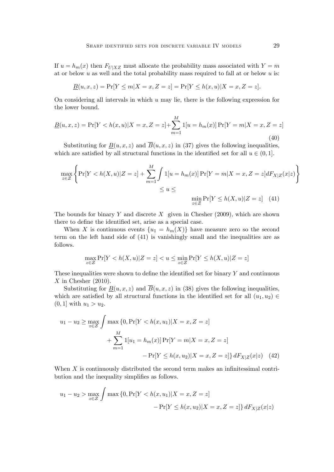If  $u = h_m(x)$  then  $F_{U|XZ}$  must allocate the probability mass associated with  $Y = m$ at or below u as well and the total probability mass required to fall at or below u is:

$$
\underline{B}(u, x, z) = \Pr[Y \le m | X = x, Z = z] = \Pr[Y \le h(x, u) | X = x, Z = z].
$$

On considering all intervals in which  $u$  may lie, there is the following expression for the lower bound.

$$
\underline{B}(u,x,z) = \Pr[Y < h(x,u)|X=x,Z=z] + \sum_{m=1}^{M} 1[u = h_m(x)] \Pr[Y=m|X=x,Z=z] \tag{40}
$$

Substituting for  $B(u, x, z)$  and  $\overline{B}(u, x, z)$  in (37) gives the following inequalities, which are satisfied by all structural functions in the identified set for all  $u \in (0, 1]$ .

$$
\max_{z \in \mathcal{Z}} \left\{ \Pr[Y < h(X, u)|Z = z] + \sum_{m=1}^{M} \int 1[u = h_m(x)] \Pr[Y = m|X = x, Z = z] dF_{X|Z}(x|z) \right\}
$$
\n
$$
\le u \le \min_{z \in \mathcal{Z}} \Pr[Y \le h(X, u)|Z = z] \quad (41)
$$

The bounds for binary Y and discrete X given in Chesher  $(2009)$ , which are shown there to define the identified set, arise as a special case.

When X is continuous events  $\{u_1 = h_m(X)\}\$  have measure zero so the second term on the left hand side of (41) is vanishingly small and the inequalities are as follows.

$$
\max_{z \in \mathcal{Z}} \Pr[Y < h(X, u) | Z = z] < u \le \min_{z \in \mathcal{Z}} \Pr[Y \le h(X, u) | Z = z]
$$

These inequalities were shown to define the identified set for binary  $Y$  and continuous  $X$  in Chesher (2010).

Substituting for  $B(u, x, z)$  and  $\overline{B}(u, x, z)$  in (38) gives the following inequalities, which are satisfied by all structural functions in the identified set for all  $(u_1, u_2) \in$  $(0, 1]$  with  $u_1 > u_2$ .

$$
u_1 - u_2 \ge \max_{z \in \mathcal{Z}} \int \max \{0, \Pr[Y < h(x, u_1) | X = x, Z = z] \\
+ \sum_{m=1}^{M} 1[u_1 = h_m(x)] \Pr[Y = m | X = x, Z = z] \\
- \Pr[Y \le h(x, u_2) | X = x, Z = z] \} \, dF_{X|Z}(x|z) \tag{42}
$$

When  $X$  is continuously distributed the second term makes an infinitessimal contribution and the inequality simplifies as follows.

$$
u_1 - u_2 > \max_{z \in \mathcal{Z}} \int \max \{0, \Pr[Y < h(x, u_1) | X = x, Z = z] - \Pr[Y \le h(x, u_2) | X = x, Z = z] \} dF_{X|Z}(x|z)
$$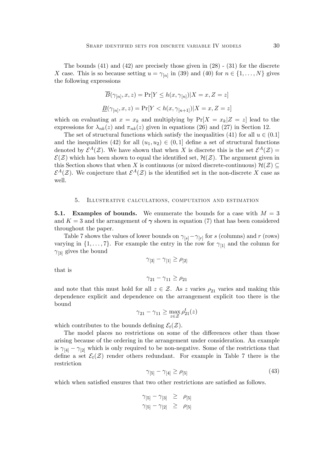The bounds  $(41)$  and  $(42)$  are precisely those given in  $(28)$  -  $(31)$  for the discrete X case. This is so because setting  $u = \gamma_{[n]}$  in (39) and (40) for  $n \in \{1, ..., N\}$  gives the following expressions

$$
\overline{B}(\gamma_{[n]}, x, z) = \Pr[Y \le h(x, \gamma_{[n]}) | X = x, Z = z]
$$
  

$$
\underline{B}(\gamma_{[n]}, x, z) = \Pr[Y < h(x, \gamma_{[n+1]}) | X = x, Z = z]
$$

which on evaluating at  $x = x_k$  and multiplying by  $Pr[X = x_k | Z = z]$  lead to the expressions for  $\lambda_{nk}(z)$  and  $\pi_{nk}(z)$  given in equations (26) and (27) in Section 12.

The set of structural functions which satisfy the inequalities (41) for all  $u \in (0.1]$ and the inequalities (42) for all  $(u_1, u_2) \in (0, 1]$  define a set of structural functions denoted by  $\mathcal{E}^A(\mathcal{Z})$ . We have shown that when X is discrete this is the set  $\mathcal{E}^A(\mathcal{Z})$  =  $\mathcal{E}(\mathcal{Z})$  which has been shown to equal the identified set,  $\mathcal{H}(\mathcal{Z})$ . The argument given in this Section shows that when X is continuous (or mixed discrete-continuous)  $\mathcal{H}(\mathcal{Z}) \subseteq$  $\mathcal{E}^A(\mathcal{Z})$ . We conjecture that  $\mathcal{E}^A(\mathcal{Z})$  is the identified set in the non-discrete X case as well.

## 5. Illustrative calculations, computation and estimation

**5.1.** Examples of bounds. We enumerate the bounds for a case with  $M = 3$ and  $K = 3$  and the arrangement of  $\gamma$  shown in equation (7) that has been considered throughout the paper.

Table 7 shows the values of lower bounds on  $\gamma_{[s]} - \gamma_{[r]}$  for s (columns) and r (rows) varying in  $\{1, \ldots, 7\}$ . For example the entry in the row for  $\gamma_{[1]}$  and the column for  $\gamma_{3}$  gives the bound

$$
\gamma_{[3]}-\gamma_{[1]}\geq\rho_{[2]}
$$

that is

$$
\gamma_{21}-\gamma_{11}\geq\rho_{21}
$$

and note that this must hold for all  $z \in \mathcal{Z}$ . As z varies  $\rho_{21}$  varies and making this dependence explicit and dependence on the arrangement explicit too there is the bound

$$
\gamma_{21} - \gamma_{11} \ge \max_{z \in \mathcal{Z}} \rho_{21}^t(z)
$$

which contributes to the bounds defining  $\mathcal{E}_t(\mathcal{Z})$ .

The model places no restrictions on some of the differences other than those arising because of the ordering in the arrangement under consideration. An example is  $\gamma_{[4]} - \gamma_{[2]}$  which is only required to be non-negative. Some of the restrictions that define a set  $\mathcal{E}_t(\mathcal{Z})$  render others redundant. For example in Table 7 there is the restriction

$$
\gamma_{[5]} - \gamma_{[4]} \ge \rho_{[5]} \tag{43}
$$

which when satisfied ensures that two other restrictions are satisfied as follows.

$$
\begin{array}{rcl}\n\gamma_{[5]} - \gamma_{[3]} & \geq & \rho_{[5]} \\
\gamma_{[5]} - \gamma_{[2]} & \geq & \rho_{[5]}\n\end{array}
$$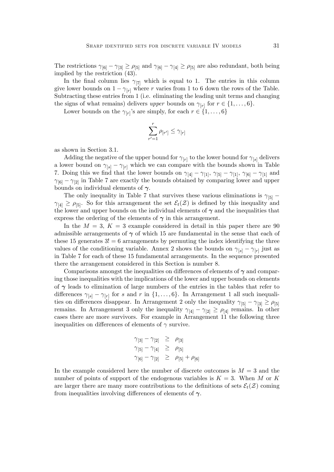The restrictions  $\gamma_{[6]} - \gamma_{[3]} \ge \rho_{[5]}$  and  $\gamma_{[6]} - \gamma_{[4]} \ge \rho_{[5]}$  are also redundant, both being implied by the restriction (43).

In the final column lies  $\gamma_{[7]}$  which is equal to 1. The entries in this column give lower bounds on  $1 - \gamma_{[r]}$  where r varies from 1 to 6 down the rows of the Table. Subtracting these entries from 1 (i.e. eliminating the leading unit terms and changing the signs of what remains) delivers upper bounds on  $\gamma_{[r]}$  for  $r \in \{1, \ldots, 6\}$ .

Lower bounds on the  $\gamma_{[r]}$ 's are simply, for each  $r \in \{1, \ldots, 6\}$ 

$$
\sum_{r'=1}^r \rho_{[r']} \leq \gamma_{[r]}
$$

as shown in Section 3.1.

Adding the negative of the upper bound for  $\gamma_{[r]}$  to the lower bound for  $\gamma_{[s]}$  delivers a lower bound on  $\gamma_{[s]} - \gamma_{[r]}$  which we can compare with the bounds shown in Table 7. Doing this we find that the lower bounds on  $\gamma_{4}$  –  $\gamma_{[1]}$ ,  $\gamma_{[5]}$  –  $\gamma_{[1]}$ ,  $\gamma_{[6]}$  –  $\gamma_{[1]}$  and  $\gamma_{6}$  –  $\gamma_{2}$  in Table 7 are exactly the bounds obtained by comparing lower and upper bounds on individual elements of  $\gamma$ .

The only inequality in Table 7 that survives these various eliminations is  $\gamma_{5}$  –  $[\gamma_{4}] \geq \rho_{5}$ . So for this arrangement the set  $\mathcal{E}_t(\mathcal{Z})$  is defined by this inequality and the lower and upper bounds on the individual elements of  $\gamma$  and the inequalities that express the ordering of the elements of  $\gamma$  in this arrangement.

In the  $M = 3$ ,  $K = 3$  example considered in detail in this paper there are 90 admissible arrangements of  $\gamma$  of which 15 are fundamental in the sense that each of these 15 generates  $3! = 6$  arrangements by permuting the index identifying the three values of the conditioning variable. Annex 2 shows the bounds on  $\gamma_{[s]} - \gamma_{[r]}$  just as in Table 7 for each of these 15 fundamental arrangements. In the sequence presented there the arrangement considered in this Section is number 8.

Comparisons amongst the inequalities on differences of elements of  $\gamma$  and comparing those inequalities with the implications of the lower and upper bounds on elements of  $\gamma$  leads to elimination of large numbers of the entries in the tables that refer to differences  $\gamma_{[s]} - \gamma_{[r]}$  for s and r in  $\{1, \ldots, 6\}$ . In Arrangement 1 all such inequalities on differences disappear. In Arrangement 2 only the inequality  $\gamma_{5} - \gamma_{3} \ge \rho_{5}$ remains. In Arrangement 3 only the inequality  $\gamma_{4} - \gamma_{2} \ge \rho_{4}$  remains. In other cases there are more survivors. For example in Arrangement 11 the following three inequalities on differences of elements of  $\gamma$  survive.

$$
\gamma_{[3]} - \gamma_{[2]} \ge \rho_{[3]}
$$
  
\n
$$
\gamma_{[5]} - \gamma_{[4]} \ge \rho_{[5]}
$$
  
\n
$$
\gamma_{[6]} - \gamma_{[2]} \ge \rho_{[5]} + \rho_{[6]}
$$

In the example considered here the number of discrete outcomes is  $M = 3$  and the number of points of support of the endogenous variables is  $K = 3$ . When M or K are larger there are many more contributions to the definitions of sets  $\mathcal{E}_t(\mathcal{Z})$  coming from inequalities involving differences of elements of  $\gamma$ .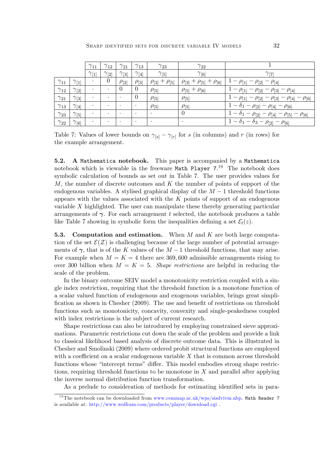|               |                | $\gamma_{11}$ | $\gamma_{12}$ | $\gamma_{21}$ | $\gamma_{13}$  | $\gamma_{23}$           | $\gamma_{22}$                    |                                                                    |
|---------------|----------------|---------------|---------------|---------------|----------------|-------------------------|----------------------------------|--------------------------------------------------------------------|
|               |                | $\gamma_{11}$ | $\gamma_{2}$  | $\gamma_{3}$  | $\gamma_{[4]}$ | $\gamma_{5}$            | $\gamma_{6}$                     | $\gamma_{[7]}$                                                     |
| $\gamma_{11}$ | $\gamma_{1}$   |               | $\theta$      | $\rho_{[2]}$  | $\rho_{[3]}$   | $\rho_{3}$ + $\rho_{5}$ | $\rho_{3} + \rho_{5} + \rho_{6}$ | $1 - \rho_{[1]} - \rho_{[2]} - \rho_{[4]}$                         |
| $\gamma_{12}$ | $\gamma_{2}$   |               |               | $\theta$      | $\theta$       | $\rho_{5}$              | $\rho_{5}$ + $\rho_{6}$          | $1 - \rho_{[1]} - \rho_{[2]} - \rho_{[3]} - \rho_{[4]}$            |
| $\gamma_{21}$ | $\gamma_{3}$   |               |               |               | $\theta$       | $\rho_{5}$              | $\rho_{5}$                       | $-\rho_{[1]} - \rho_{[2]} - \rho_{[3]} - \rho_{[4]} - \rho_{[6]}$  |
| $\gamma_{13}$ | $\gamma_{[4]}$ |               |               |               | $\bullet$      | $\rho_{5}$              | $\rho_{5}$                       | $1 - \delta_1 - \rho_{[2]} - \rho_{[4]} - \rho_{[6]}$              |
| $\gamma_{23}$ | $\gamma_{5}$   |               |               |               | $\bullet$      |                         | $\theta$                         | $1 - \delta_1 - \rho_{[2]} - \rho_{[4]} - \rho_{[5]} - \rho_{[6]}$ |
| $\gamma_{22}$ | $\gamma_{6}$   |               |               |               | $\bullet$      |                         |                                  | $\overline{1-\delta_1-\delta_3-\rho_{[2]}-\rho_{[6]}}$             |

Table 7: Values of lower bounds on  $\gamma_{[s]} - \gamma_{[r]}$  for s (in columns) and r (in rows) for the example arrangement.

5.2. A Mathematica notebook. This paper is accompanied by a Mathematica notebook which is viewable in the freeware Math Player 7.<sup>19</sup> The notebook does symbolic calculation of bounds as set out in Table 7. The user provides values for  $M$ , the number of discrete outcomes and  $K$  the number of points of support of the endogenous variables. A stylised graphical display of the  $M-1$  threshold functions appears with the values associated with the  $K$  points of support of an endogenous variable  $X$  highlighted. The user can manipulate these thereby generating particular arrangements of  $\gamma$ . For each arrangement t selected, the notebook produces a table like Table 7 showing in symbolic form the inequalities defining a set  $\mathcal{E}_t(z)$ .

**5.3.** Computation and estimation. When M and K are both large computation of the set  $\mathcal{E}(\mathcal{Z})$  is challenging because of the large number of potential arrangements of  $\gamma$ , that is of the K values of the  $M-1$  threshold functions, that may arise. For example when  $M = K = 4$  there are 369,600 admissible arrangements rising to over 300 billion when  $M = K = 5$ . Shape restrictions are helpful in reducing the scale of the problem.

In the binary outcome SEIV model a monotonicity restriction coupled with a single index restriction, requiring that the threshold function is a monotone function of a scalar valued function of endogenous and exogenous variables, brings great simplification as shown in Chesher  $(2009)$ . The use and benefit of restrictions on threshold functions such as monotonicity, concavity, convexity and single-peakedness coupled with index restrictions is the subject of current research.

Shape restrictions can also be introduced by employing constrained sieve approximations. Parametric restrictions cut down the scale of the problem and provide a link to classical likelihood based analysis of discrete outcome data. This is illustrated in Chesher and Smolinski (2009) where ordered probit structural functions are employed with a coefficient on a scalar endogenous variable  $X$  that is common across threshold functions whose "intercept terms" differ. This model embodies strong shape restrictions, requiring threshold functions to be monotone in  $X$  and parallel after applying the inverse normal distribution function transformation.

As a prelude to consideration of methods for estimating identified sets in para-

<sup>&</sup>lt;sup>19</sup>The notebook can be downloaded from [www.cemmap.ac.uk/wps/sisdvivm.nbp.](http://www.cemmap.ac.uk/wps/sisdvivm.nbp) Math Reader 7 is available at: <http://www.wolfram.com/products/player/download.cgi> .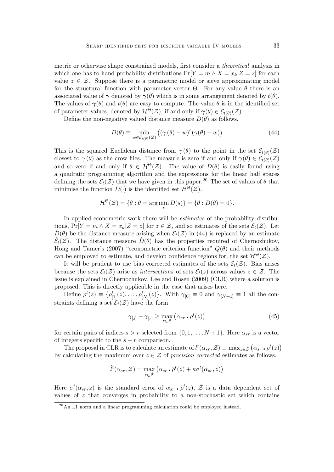metric or otherwise shape constrained models, first consider a *theoretical* analysis in which one has to hand probability distributions  $\Pr[Y = m \wedge X = x_k | Z = z]$  for each value  $z \in \mathcal{Z}$ . Suppose there is a parametric model or sieve approximating model for the structural function with parameter vector  $\Theta$ . For any value  $\theta$  there is an associated value of  $\gamma$  denoted by  $\gamma(\theta)$  which is in some arrangement denoted by  $t(\theta)$ . The values of  $\gamma(\theta)$  and  $t(\theta)$  are easy to compute. The value  $\theta$  is in the identified set of parameter values, denoted by  $\mathcal{H}^{\Theta}(\mathcal{Z})$ , if and only if  $\gamma(\theta) \in \mathcal{E}_{t(\theta)}(\mathcal{Z})$ .

Define the non-negative valued distance measure  $D(\theta)$  as follows.

$$
D(\theta) \equiv \min_{w \in \mathcal{E}_{t(\theta)}(\mathcal{Z})} ((\gamma(\theta) - w)'(\gamma(\theta) - w))
$$
\n(44)

This is the squared Euclidean distance from  $\gamma(\theta)$  to the point in the set  $\mathcal{E}_{t(\theta)}(\mathcal{Z})$ closest to  $\gamma(\theta)$  as the crow flies. The measure is zero if and only if  $\gamma(\theta) \in \mathcal{E}_{t(\theta)}(\mathcal{Z})$ and so zero if and only if  $\theta \in H^{\Theta}(\mathcal{Z})$ . The value of  $D(\theta)$  is easily found using a quadratic programming algorithm and the expressions for the linear half spaces defining the sets  $\mathcal{E}_t(\mathcal{Z})$  that we have given in this paper.<sup>20</sup> The set of values of  $\theta$  that minimise the function  $D(\cdot)$  is the identified set  $\mathcal{H}^{\Theta}(\mathcal{Z})$ .

$$
\mathcal{H}^{\Theta}(\mathcal{Z}) = \{ \theta : \theta = \arg\min_{s} D(s) \} = \{ \theta : D(\theta) = 0 \}.
$$

In applied econometric work there will be estimates of the probability distributions,  $Pr[Y = m \wedge X = x_k | Z = z]$  for  $z \in \mathcal{Z}$ , and so estimates of the sets  $\mathcal{E}_t(\mathcal{Z})$ . Let  $\hat{D}(\theta)$  be the distance measure arising when  $\mathcal{E}_t(\mathcal{Z})$  in (44) is replaced by an estimate  $\hat{\mathcal{E}}_t(\mathcal{Z})$ . The distance measure  $\hat{D}(\theta)$  has the properties required of Chernozhukov, Hong and Tamer's (2007) "econometric criterion function"  $Q(\theta)$  and their methods can be employed to estimate, and develop confidence regions for, the set  $\mathcal{H}^{\Theta}(\mathcal{Z})$ .

It will be prudent to use bias corrected estimates of the sets  $\mathcal{E}_t(\mathcal{Z})$ . Bias arises because the sets  $\mathcal{E}_t(\mathcal{Z})$  arise as intersections of sets  $\mathcal{E}_t(z)$  across values  $z \in \mathcal{Z}$ . The issue is explained in Chernozhukov, Lee and Rosen (2009) (CLR) where a solution is proposed. This is directly applicable in the case that arises here.

Define  $\rho^t(z) \equiv \{\rho^t_{[1]}(z), \ldots, \rho^t_{[N]}(z)\}\$ . With  $\gamma_{[0]} \equiv 0$  and  $\gamma_{[N+1]} \equiv 1$  all the constraints defining a set  $\mathcal{E}_t(\mathcal{Z})$  have the form

$$
\gamma_{[s]} - \gamma_{[r]} \ge \max_{z \in \mathcal{Z}} \left( \alpha_{sr} \cdot \rho^t(z) \right) \tag{45}
$$

for certain pairs of indices  $s > r$  selected from  $\{0, 1, \ldots, N+1\}$ . Here  $\alpha_{sr}$  is a vector of integers specific to the  $s - r$  comparison.

The proposal in CLR is to calculate an estimate of  $l^t(\alpha_{sr}, \mathcal{Z}) \equiv \max_{z \in \mathcal{Z}} (\alpha_{sr} \cdot \rho^t(z))$ by calculating the maximum over  $z \in \mathcal{Z}$  of precision corrected estimates as follows.

$$
\hat{l}^{t}(\alpha_{sr}, \mathcal{Z}) = \max_{z \in \hat{\mathcal{Z}}} (\alpha_{sr} \cdot \hat{\rho}^{t}(z) + \kappa \sigma^{t}(\alpha_{sr}, z))
$$

Here  $\sigma^t(\alpha_{sr}, z)$  is the standard error of  $\alpha_{sr}$   $\hat{\rho}^t(z)$ ,  $\hat{Z}$  is a data dependent set of values of  $z$  that converges in probability to a non-stochastic set which contains

 $^{20}$ An L1 norm and a linear programming calculation could be employed instead.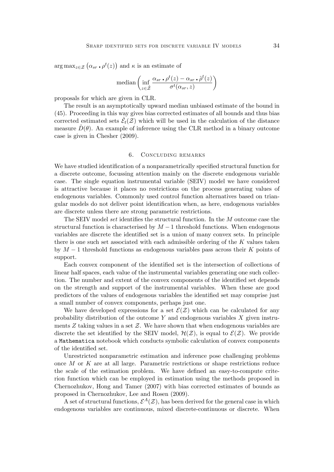$\arg \max_{z \in \mathcal{Z}} (\alpha_{sr} \cdot \rho^t(z))$  and  $\kappa$  is an estimate of

$$
\text{median}\left(\inf_{z\in\hat{\mathcal{Z}}}\frac{\alpha_{sr}\cdot\rho^t(z)-\alpha_{sr}\cdot\hat{\rho}^t(z)}{\sigma^t(\alpha_{sr},z)}\right)
$$

proposals for which are given in CLR.

The result is an asymptotically upward median unbiased estimate of the bound in (45). Proceeding in this way gives bias corrected estimates of all bounds and thus bias corrected estimated sets  $\hat{\mathcal{E}}_t(\mathcal{Z})$  which will be used in the calculation of the distance measure  $\hat{D}(\theta)$ . An example of inference using the CLR method in a binary outcome case is given in Chesher (2009).

#### 6. Concluding remarks

We have studied identification of a nonparametrically specified structural function for a discrete outcome, focussing attention mainly on the discrete endogenous variable case. The single equation instrumental variable (SEIV) model we have considered is attractive because it places no restrictions on the process generating values of endogenous variables. Commonly used control function alternatives based on triangular models do not deliver point identification when, as here, endogenous variables are discrete unless there are strong parametric restrictions.

The SEIV model set identifies the structural function. In the  $M$  outcome case the structural function is characterised by  $M-1$  threshold functions. When endogenous variables are discrete the identified set is a union of many convex sets. In principle there is one such set associated with each admissible ordering of the  $K$  values taken by  $M-1$  threshold functions as endogenous variables pass across their K points of support.

Each convex component of the identified set is the intersection of collections of linear half spaces, each value of the instrumental variables generating one such collection. The number and extent of the convex components of the identified set depends on the strength and support of the instrumental variables. When these are good predictors of the values of endogenous variables the identified set may comprise just a small number of convex components, perhaps just one.

We have developed expressions for a set  $\mathcal{E}(Z)$  which can be calculated for any probability distribution of the outcome  $Y$  and endogenous variables  $X$  given instruments  $Z$  taking values in a set  $Z$ . We have shown that when endogenous variables are discrete the set identified by the SEIV model,  $\mathcal{H}(\mathcal{Z})$ , is equal to  $\mathcal{E}(\mathcal{Z})$ . We provide a Mathematica notebook which conducts symbolic calculation of convex components of the identified set.

Unrestricted nonparametric estimation and inference pose challenging problems once M or K are at all large. Parametric restrictions or shape restrictions reduce the scale of the estimation problem. We have defined an easy-to-compute criterion function which can be employed in estimation using the methods proposed in Chernozhukov, Hong and Tamer (2007) with bias corrected estimates of bounds as proposed in Chernozhukov, Lee and Rosen (2009).

A set of structural functions,  $\mathcal{E}^A(\mathcal{Z})$ , has been derived for the general case in which endogenous variables are continuous, mixed discrete-continuous or discrete. When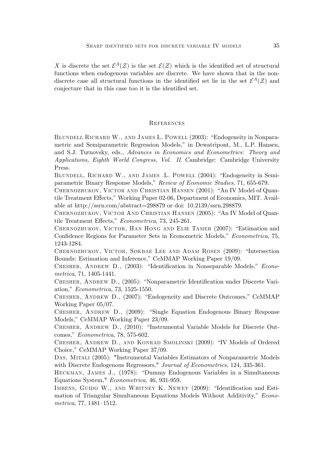X is discrete the set  $\mathcal{E}^A(\mathcal{Z})$  is the set  $\mathcal{E}(\mathcal{Z})$  which is the identified set of structural functions when endogenous variables are discrete. We have shown that in the nondiscrete case all structural functions in the identified set lie in the set  $\mathcal{E}^A(\mathcal{Z})$  and conjecture that in this case too it is the identified set.

## **REFERENCES**

BLUNDELL RICHARD W., AND JAMES L. POWELL (2003): "Endogeneity in Nonparametric and Semiparametric Regression Models," in Dewatripont, M., L.P. Hansen, and S.J. Turnovsky, eds., Advances in Economics and Econometrics: Theory and Applications, Eighth World Congress, Vol. II. Cambridge: Cambridge University Press.

BLUNDELL, RICHARD W., AND JAMES .L. POWELL (2004): "Endogeneity in Semiparametric Binary Response Models," Review of Economic Studies, 71, 655-679.

CHERNOZHUKOV, VICTOR AND CHRISTIAN HANSEN (2001): "An IV Model of Quantile Treatment Effects," Working Paper 02-06, Department of Economics, MIT. Available at http://ssrn.com/abstract=298879 or doi: 10.2139/ssrn.298879.

CHERNOZHUKOV, VICTOR AND CHRISTIAN HANSEN (2005): "An IV Model of Quantile Treatment Effects," Econometrica, 73, 245-261.

CHERNOZHUKOV, VICTOR, HAN HONG AND ELIE TAMER (2007): "Estimation and Confidence Regions for Parameter Sets in Econometric Models," Econometrica, 75, 1243-1284.

CHERNOZHUKOV, VICTOR, SOKBAE LEE AND ADAM ROSEN (2009): "Intersection Bounds: Estimation and Inference," CeMMAP Working Paper 19/09.

CHESHER, ANDREW D., (2003): "Identification in Nonseparable Models," Econometrica, 71, 1405-1441.

CHESHER, ANDREW D., (2005): "Nonparametric Identification under Discrete Variation," *Econometrica*, 73, 1525-1550.

CHESHER, ANDREW D., (2007): "Endogeneity and Discrete Outcomes," CeMMAP Working Paper 05/07.

CHESHER, ANDREW D., (2009): "Single Equation Endogenous Binary Response Models," CeMMAP Working Paper 23/09.

CHESHER, ANDREW D., (2010): "Instrumental Variable Models for Discrete Outcomes," Econometrica, 78, 575-602.

CHESHER, ANDREW D., AND KONRAD SMOLINSKI (2009): "IV Models of Ordered Choice," CeMMAP Working Paper 37/09.

Das, Mitali (2005): "Instrumental Variables Estimators of Nonparametric Models with Discrete Endogenous Regressors," Journal of Econometrics, 124, 335-361.

HECKMAN, JAMES J., (1978): "Dummy Endogenous Variables in a Simultaneous Equations System," Econometrica, 46, 931-959.

IMBENS, GUIDO W., AND WHITNEY K. NEWEY (2009): "Identification and Estimation of Triangular Simultaneous Equations Models Without Additivity," Econo $metrica, 77, 1481–1512.$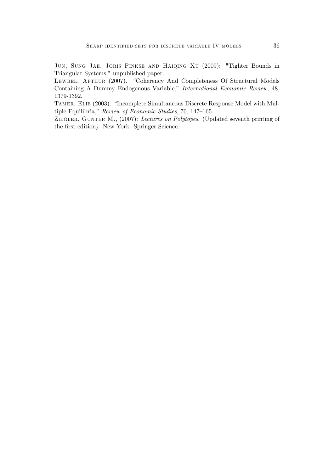Jun, Sung Jae, Joris Pinkse and Haiqing Xu (2009): "Tighter Bounds in Triangular Systems," unpublished paper.

LEWBEL, ARTHUR (2007). "Coherency And Completeness Of Structural Models Containing A Dummy Endogenous Variable," International Economic Review, 48, 1379-1392.

TAMER, ELIE (2003). "Incomplete Simultaneous Discrete Response Model with Multiple Equilibria," Review of Economic Studies, 70, 147–165.

ZIEGLER, GUNTER M., (2007): Lectures on Polytopes. (Updated seventh printing of the first edition). New York: Springer Science.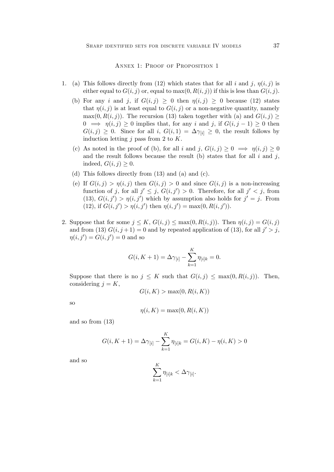ANNEX 1: PROOF OF PROPOSITION 1

- 1. (a) This follows directly from (12) which states that for all i and j,  $\eta(i, j)$  is either equal to  $G(i, j)$  or, equal to  $\max(0, R(i, j))$  if this is less than  $G(i, j)$ .
	- (b) For any i and j, if  $G(i, j) \geq 0$  then  $\eta(i, j) \geq 0$  because (12) states that  $\eta(i, j)$  is at least equal to  $G(i, j)$  or a non-negative quantity, namely  $\max(0, R(i, j))$ . The recursion (13) taken together with (a) and  $G(i, j)$  $0 \implies \eta(i, j) \geq 0$  implies that, for any i and j, if  $G(i, j - 1) \geq 0$  then  $G(i, j) \geq 0$ . Since for all i,  $G(i, 1) = \Delta \gamma_{[i]} \geq 0$ , the result follows by induction letting  $j$  pass from 2 to  $K$ .
	- (c) As noted in the proof of (b), for all i and j,  $G(i, j) \geq 0 \implies \eta(i, j) \geq 0$ and the result follows because the result (b) states that for all  $i$  and  $j$ , indeed,  $G(i, j) \geq 0$ .
	- (d) This follows directly from (13) and (a) and (c).
	- (e) If  $G(i, j) > \eta(i, j)$  then  $G(i, j) > 0$  and since  $G(i, j)$  is a non-increasing function of j, for all  $j' \leq j$ ,  $G(i, j') > 0$ . Therefore, for all  $j' < j$ , from  $(13), G(i, j') > \eta(i, j')$  which by assumption also holds for  $j' = j$ . From (12), if  $G(i, j') > \eta(i, j')$  then  $\eta(i, j') = \max(0, R(i, j')).$
- 2. Suppose that for some  $j \leq K$ ,  $G(i, j) \leq \max(0, R(i, j))$ . Then  $\eta(i, j) = G(i, j)$ and from (13)  $G(i, j+1) = 0$  and by repeated application of (13), for all  $j' > j$ ,  $\eta(i, j') = G(i, j') = 0$  and so

$$
G(i, K + 1) = \Delta \gamma_{[i]} - \sum_{k=1}^{K} \eta_{[i]k} = 0.
$$

Suppose that there is no  $j \leq K$  such that  $G(i, j) \leq \max(0, R(i, j))$ . Then, considering  $j = K$ ,

$$
G(i, K) > \max(0, R(i, K))
$$

so

$$
\eta(i, K) = \max(0, R(i, K))
$$

and so from (13)

$$
G(i, K + 1) = \Delta \gamma_{[i]} - \sum_{k=1}^{K} \eta_{[i]k} = G(i, K) - \eta(i, K) > 0
$$

and so

$$
\sum_{k=1}^K \eta_{[i]k} < \Delta \gamma_{[i]}.
$$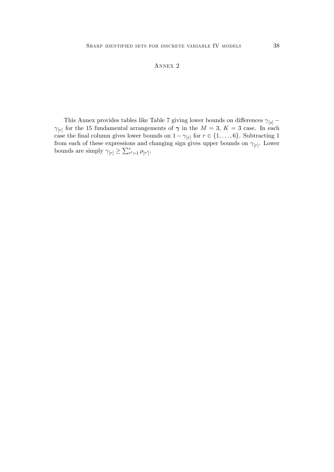## Annex 2

This Annex provides tables like Table 7 giving lower bounds on differences  $\gamma_{[s]}$  –  $\gamma_{[r]}$  for the 15 fundamental arrangements of  $\gamma$  in the  $M = 3$ ,  $K = 3$  case. In each case the final column gives lower bounds on  $1 - \gamma_{[r]}$  for  $r \in \{1, \ldots, 6\}$ . Subtracting 1 from each of these expressions and changing sign gives upper bounds on  $\gamma_{[r]}$ . Lower bounds are simply  $\gamma_{[r]} \geq \sum_{r'=1}^r \rho_{[r']}$ .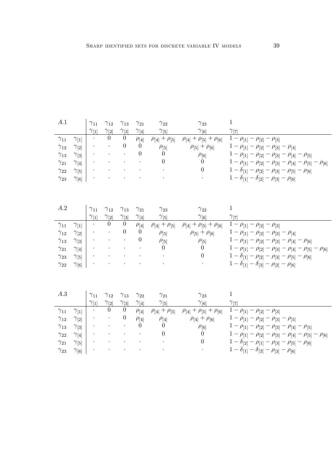| A.1<br>$\gamma_{11}$<br>$\gamma_{12}$<br>$\gamma_{13}$<br>$\gamma_{21}$<br>$\gamma_{22}$           | $\gamma_{1}$<br>$\gamma_{2}$<br>$\gamma_{3}$<br>$\gamma_{[4]}$<br>$\gamma_{5}$                 | $\gamma_{11}$<br>$\gamma_{1}$ | $\gamma_{12}$<br>$\gamma_{[2]}$<br>$\overline{0}$ | $\gamma_{13}$<br>$\gamma_{[3]}$<br>$\theta$<br>$\theta$             | $\gamma_{21}$<br>$\gamma_{4}$<br>$\rho_{[4]}$<br>$\theta$<br>$\theta$             | $\gamma_{22}$<br>$\gamma_{5}$<br>$\rho_{4}$ + $\rho_{5}$<br>$\rho_{[5]}$<br>$\Omega$<br>$\theta$ | $\gamma_{23}$<br>$\gamma_{[6]}$<br>$\rho_{[4]} + \rho_{[5]} + \rho_{[6]}$<br>$\rho_{5} + \rho_{6}$<br>$\rho_{[6]}$<br>$\theta$<br>$\theta$ | $\mathbf{1}$<br>$\gamma_{[7]}$<br>$1 - \rho_{[1]} - \rho_{[2]} - \rho_{[3]}$<br>$1 - \rho_{[1]} - \rho_{[2]} - \rho_{[3]} - \rho_{[4]}$<br>$1 - \rho_{[1]} - \rho_{[2]} - \rho_{[3]} - \rho_{[4]} - \rho_{[5]}$<br>$1 - \rho_{[1]} - \rho_{[2]} - \rho_{[3]} - \rho_{[4]} - \rho_{[5]} - \rho_{[6]}$<br>$1-\delta_{[1]}-\rho_{[2]}-\rho_{[3]}-\rho_{[5]}-\rho_{[6]}$                                                          |
|----------------------------------------------------------------------------------------------------|------------------------------------------------------------------------------------------------|-------------------------------|---------------------------------------------------|---------------------------------------------------------------------|-----------------------------------------------------------------------------------|--------------------------------------------------------------------------------------------------|--------------------------------------------------------------------------------------------------------------------------------------------|-------------------------------------------------------------------------------------------------------------------------------------------------------------------------------------------------------------------------------------------------------------------------------------------------------------------------------------------------------------------------------------------------------------------------------|
| $\gamma_{23}$<br>A.2                                                                               | $\gamma_{6}$                                                                                   | $\gamma_{11}$                 | $\gamma_{12}$                                     | $\gamma_{13}$                                                       | $\gamma_{21}$                                                                     | $\gamma_{23}$                                                                                    | $\gamma_{22}$                                                                                                                              | $1 - \delta_{[1]} - \delta_{[2]} - \rho_{[3]} - \rho_{[6]}$<br>$\mathbf{1}$                                                                                                                                                                                                                                                                                                                                                   |
| $\gamma_{11}$<br>$\gamma_{12}$<br>$\gamma_{13}$<br>$\gamma_{21}$<br>$\gamma_{23}$<br>$\gamma_{22}$ | $\gamma_{1}$<br>$\gamma_{2}$<br>$\gamma_{3}$<br>$\gamma_{[4]}$<br>$\gamma_{5}$<br>$\gamma_{6}$ | $\gamma_{1}$                  | $\gamma_{[2]}$<br>$\overline{0}$                  | $\gamma_{3}$<br>$\theta$<br>$\overline{0}$                          | $\gamma_{[4]}$<br>$\rho_{[4]}$<br>$\theta$<br>$\theta$                            | $\gamma_{5}$<br>$\rho_{4} + \rho_{5}$<br>$\rho_{[5]}$<br>$\rho_{[5]}$<br>$\theta$                | $\gamma_{[6]}$<br>$\rho_{4}$ + $\rho_{5}$ + $\rho_{6}$<br>$\rho_{5}$ + $\rho_{6}$<br>$\rho_{[5]}$<br>$\theta$<br>$\overline{0}$            | $\gamma_{[7]}$<br>$1 - \rho_{[1]} - \rho_{[2]} - \rho_{[3]}$<br>$1 - \rho_{[1]} - \rho_{[2]} - \rho_{[3]} - \rho_{[4]}$<br>$1 - \rho_{[1]} - \rho_{[2]} - \rho_{[3]} - \rho_{[4]} - \rho_{[6]}$<br>$1 - \rho_{[1]} - \rho_{[2]} - \rho_{[3]} - \rho_{[4]} - \rho_{[5]} - \rho_{[6]}$<br>$1 - \delta_{[1]} - \rho_{[2]} - \rho_{[3]} - \rho_{[5]} - \rho_{[6]}$<br>$1 - \delta_{[1]} - \delta_{[3]} - \rho_{[2]} - \rho_{[6]}$ |
| A.3<br>$\gamma_{11}$<br>$\gamma_{12}$<br>$\gamma_{13}$<br>$\gamma_{22}$                            | $\gamma_{1}$<br>$\gamma_{2}$<br>$\gamma_{3}$<br>$\gamma_{[4]}$                                 | $\gamma_{11}$<br>$\gamma_{1}$ | $\gamma_{12}$<br>$\gamma_{[2]}$<br>$\theta$       | $\gamma_{13}$<br>$\gamma_{3}$<br>$\overline{0}$<br>$\boldsymbol{0}$ | $\gamma_{22}$<br>$\gamma_{[4]}$<br>$\rho_{[4]}$<br>$\rho_{[4]}$<br>$\overline{0}$ | $\gamma_{21}$<br>$\gamma_{5}$<br>$\rho_{4}$ + $\rho_{5}$<br>$\rho_{[4]}$<br>$\theta$<br>$\theta$ | $\gamma_{23}$<br>$\gamma_{[6]}$<br>$\rho_{4} + \rho_{5} + \rho_{6}$<br>$\rho_{4} + \rho_{6}$<br>$\rho_{[6]}$<br>$\Omega$                   | $\mathbf{1}$<br>$\gamma_{[7]}$<br>$1 - \rho_{[1]} - \rho_{[2]} - \rho_{[3]}$<br>$1 - \rho_{[1]} - \rho_{[2]} - \rho_{[3]} - \rho_{[5]}$<br>$1 - \rho_{[1]} - \rho_{[2]} - \rho_{[3]} - \rho_{[4]} - \rho_{[5]}$<br>$1 - \rho_{[1]} - \rho_{[2]} - \rho_{[3]} - \rho_{[4]} - \rho_{[5]} - \rho_{[6]}$                                                                                                                          |
| $\gamma_{21}$<br>$\gamma_{23}$                                                                     | $\gamma_{5}$<br>$\gamma_{6}$                                                                   |                               |                                                   |                                                                     |                                                                                   |                                                                                                  | $\overline{0}$                                                                                                                             | $1 - \delta_{[2]} - \rho_{[1]} - \rho_{[3]} - \rho_{[5]} - \rho_{[6]}$<br>$1 - \delta_{[1]} - \delta_{[2]} - \rho_{[3]} - \rho_{[6]}$                                                                                                                                                                                                                                                                                         |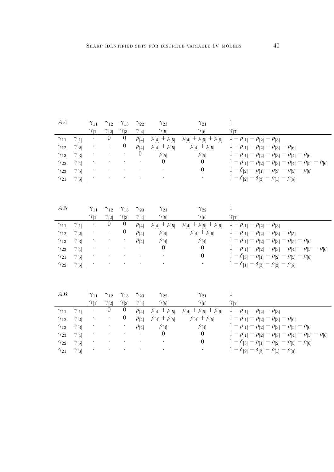| A.4           |                | $\gamma_{11}$  | $\gamma_{12}$  | $\gamma_{13}$    | $\gamma_{22}$  | $\gamma_{23}$             | $\gamma_{21}$                            | $\mathbf 1$                                                                       |
|---------------|----------------|----------------|----------------|------------------|----------------|---------------------------|------------------------------------------|-----------------------------------------------------------------------------------|
|               |                | $\gamma_{[1]}$ | $\gamma_{[2]}$ | $\gamma_{3}$     | $\gamma_{[4]}$ | $\gamma_{5}$              | $\gamma_{[6]}$                           | $\gamma_{[7]}$                                                                    |
| $\gamma_{11}$ | $\gamma_{1}$   |                | $\overline{0}$ | $\overline{0}$   | $\rho_{[4]}$   | $\rho_{[4]} + \rho_{[5]}$ | $\rho_{[4]} + \rho_{[5]} + \rho_{[6]}$   | $1 - \rho_{[1]} - \rho_{[2]} - \rho_{[3]}$                                        |
| $\gamma_{12}$ | $\gamma_{2}$   |                |                | $\boldsymbol{0}$ | $\rho_{[4]}$   | $\rho_{4}$ + $\rho_{5}$   | $\rho_{4}$ + $\rho_{5}$                  | $1 - \rho_{[1]} - \rho_{[2]} - \rho_{[3]} - \rho_{[6]}$                           |
| $\gamma_{13}$ | $\gamma_{3}$   |                |                |                  | $\theta$       | $\rho_{[5]}$              | $\rho_{[5]}$                             | $1 - \rho_{[1]} - \rho_{[2]} - \rho_{[3]} - \rho_{[4]} - \rho_{[6]}$              |
| $\gamma_{22}$ | $\gamma_{[4]}$ |                |                |                  |                | $\Omega$                  | $\Omega$                                 | $1 - \rho_{[1]} - \rho_{[2]} - \rho_{[3]} - \rho_{[4]} - \rho_{[5]} - \rho_{[6]}$ |
| $\gamma_{23}$ | $\gamma_{5}$   |                |                |                  |                |                           | $\overline{0}$                           | $1 - \delta_{[2]} - \rho_{[1]} - \rho_{[3]} - \rho_{[5]} - \rho_{[6]}$            |
| $\gamma_{21}$ | $\gamma_{6}$   |                |                |                  |                |                           |                                          | $1 - \delta_{[2]} - \delta_{[3]} - \rho_{[1]} - \rho_{[6]}$                       |
|               |                |                |                |                  |                |                           |                                          |                                                                                   |
| A.5           |                | $\gamma_{11}$  | $\gamma_{12}$  | $\gamma_{13}$    | $\gamma_{23}$  | $\gamma_{21}$             | $\gamma_{22}$                            | $\mathbf 1$                                                                       |
|               |                | $\gamma_{1}$   | $\gamma_{[2]}$ | $\gamma_{3}$     | $\gamma_{4}$   | $\gamma_{5}$              | $\gamma_{[6]}$                           | $\gamma_{[7]}$                                                                    |
| $\gamma_{11}$ | $\gamma_{1}$   |                | $\theta$       | $\overline{0}$   | $\rho_{[4]}$   | $\rho_{4}$ + $\rho_{5}$   | $\rho_{4}$ + $\rho_{5}$ + $\rho_{6}$     | $1 - \rho_{[1]} - \rho_{[2]} - \rho_{[3]}$                                        |
| $\gamma_{12}$ | $\gamma_{2}$   |                |                | $\theta$         | $\rho_{[4]}$   | $\rho_{[4]}$              | $\rho_{4} + \rho_{6}$                    | $1 - \rho_{[1]} - \rho_{[2]} - \rho_{[3]} - \rho_{[5]}$                           |
| $\gamma_{13}$ | $\gamma_{3}$   |                |                |                  | $\rho_{[4]}$   | $\rho_{[4]}$              | $\rho_{[4]}$                             | $1 - \rho_{[1]} - \rho_{[2]} - \rho_{[3]} - \rho_{[5]} - \rho_{[6]}$              |
| $\gamma_{23}$ | $\gamma_{4}$   |                |                |                  |                | $\theta$                  | $\Omega$                                 | $1 - \rho_{[1]} - \rho_{[2]} - \rho_{[3]} - \rho_{[4]} - \rho_{[5]} - \rho_{[6]}$ |
| $\gamma_{21}$ | $\gamma_{5}$   |                |                |                  |                |                           | $\overline{0}$                           | $1 - \delta_{[3]} - \rho_{[1]} - \rho_{[2]} - \rho_{[5]} - \rho_{[6]}$            |
| $\gamma_{22}$ | $\gamma_{[6]}$ |                |                |                  |                |                           |                                          | $1 - \delta_{[1]} - \delta_{[3]} - \rho_{[2]} - \rho_{[6]}$                       |
|               |                |                |                |                  |                |                           |                                          |                                                                                   |
| A.6           |                | $\gamma_{11}$  | $\gamma_{12}$  | $\gamma_{13}$    | $\gamma_{23}$  | $\gamma_{22}$             | $\gamma_{21}$                            | $\mathbf{1}$                                                                      |
|               |                | $\gamma_{[1]}$ | $\gamma_{[2]}$ | $\gamma_{[3]}$   | $\gamma_{[4]}$ | $\gamma_{5}$              | $\gamma_{[6]}$                           | $\gamma_{[7]}$                                                                    |
| $\gamma_{11}$ | $\gamma_{1}$   |                | $\overline{0}$ | $\theta$         | $\rho_{[4]}$   | $\rho_{4} + \rho_{5}$     | $\rho_{4}$ + $\rho_{[5]}$ + $\rho_{[6]}$ | $1 - \rho_{[1]} - \rho_{[2]} - \rho_{[3]}$                                        |
| $\gamma_{12}$ | $\gamma_{2}$   |                |                | $\theta$         | $\rho_{[4]}$   | $\rho_{4}$ + $\rho_{5}$   | $\rho_{4} + \rho_{5}$                    | $1 - \rho_{[1]} - \rho_{[2]} - \rho_{[3]} - \rho_{[6]}$                           |
| $\gamma_{13}$ | $\gamma_{3}$   |                |                |                  | $\rho_{[4]}$   | $\rho_{[4]}$              | $\rho_{[4]}$                             | $1 - \rho_{[1]} - \rho_{[2]} - \rho_{[3]} - \rho_{[5]} - \rho_{[6]}$              |
| $\gamma_{23}$ | $\gamma_{[4]}$ |                |                |                  |                | $\theta$                  | $\Omega$                                 | $1 - \rho_{[1]} - \rho_{[2]} - \rho_{[3]} - \rho_{[4]} - \rho_{[5]} - \rho_{[6]}$ |
| $\gamma_{22}$ | $\gamma_{5}$   |                |                |                  |                |                           | $\overline{0}$                           | $1 - \delta_{[3]} - \rho_{[1]} - \rho_{[2]} - \rho_{[5]} - \rho_{[6]}$            |
| $\gamma_{21}$ | $\gamma_{6}$   |                |                |                  |                |                           |                                          | $1 - \delta_{[2]} - \delta_{[3]} - \rho_{[1]} - \rho_{[6]}$                       |
|               |                |                |                |                  |                |                           |                                          |                                                                                   |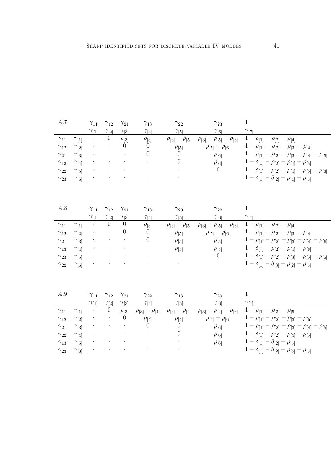| A.7           |                | $\gamma_{11}$              | $\gamma_{12}$  | $\gamma_{21}$    | $\gamma_{13}$         | $\gamma_{22}$         | $\gamma_{23}$                          | $\mathbf{1}$                                                           |
|---------------|----------------|----------------------------|----------------|------------------|-----------------------|-----------------------|----------------------------------------|------------------------------------------------------------------------|
|               |                | $\gamma_{11}$              | $\gamma_{[2]}$ | $\gamma_{3}$     | $\gamma_{[4]}$        | $\gamma_{5}$          | $\gamma_{[6]}$                         | $\gamma_{[7]}$                                                         |
| $\gamma_{11}$ | $\gamma_{1}$   |                            | $\overline{0}$ | $\rho_{3}$       | $\rho_{3}$            | $\rho_{3} + \rho_{5}$ | $\rho_{[3]} + \rho_{[5]} + \rho_{[6]}$ | $1 - \rho_{[1]} - \rho_{[2]} - \rho_{[4]}$                             |
| $\gamma_{12}$ | $\gamma_{2}$   |                            |                | $\Omega$         | $\theta$              | $\rho_{[5]}$          | $\rho_{[5]} + \rho_{[6]}$              | $1 - \rho_{[1]} - \rho_{[2]} - \rho_{[3]} - \rho_{[4]}$                |
| $\gamma_{21}$ | $\gamma_{3}$   |                            |                |                  | 0                     | $\Omega$              | $\rho_{[6]}$                           | $1 - \rho_{[1]} - \rho_{[2]} - \rho_{[3]} - \rho_{[4]} - \rho_{[5]}$   |
| $\gamma_{13}$ | $\gamma_{[4]}$ |                            |                |                  |                       | $\overline{0}$        | $\rho_{[6]}$                           | $1 - \delta_{[1]} - \rho_{[2]} - \rho_{[4]} - \rho_{[5]}$              |
| $\gamma_{22}$ | $\gamma_{5}$   |                            |                |                  |                       |                       | $\overline{0}$                         | $1-\delta_{[1]}-\rho_{[2]}-\rho_{[4]}-\rho_{[5]}-\rho_{[6]}$           |
| $\gamma_{23}$ | $\gamma_{[6]}$ |                            |                |                  |                       |                       |                                        | $1 - \delta_{[1]} - \delta_{[2]} - \rho_{[4]} - \rho_{[6]}$            |
|               |                |                            |                |                  |                       |                       |                                        |                                                                        |
| A.8           |                | $\gamma_{11}$              | $\gamma_{12}$  | $\gamma_{21}$    | $\gamma_{13}$         | $\gamma_{23}$         | $\gamma_{22}$                          | $\mathbf{1}$                                                           |
|               |                | $\gamma_{[\underline{1}]}$ | $\gamma_{[2]}$ | $\gamma_{3}$     | $\gamma_{[4]}$        | $\gamma_{[5]}$        | $\gamma_{[6]}$                         | $\gamma_{[7]}$                                                         |
| $\gamma_{11}$ | $\gamma_{1}$   |                            | 0              | $\overline{0}$   | $\rho_{3}$            | $\rho_{3} + \rho_{5}$ | $\rho_{3} + \rho_{5} + \rho_{6}$       | $1 - \rho_{[1]} - \rho_{[2]} - \rho_{[4]}$                             |
| $\gamma_{12}$ | $\gamma_{[2]}$ |                            |                | $\boldsymbol{0}$ | $\theta$              | $\rho_{5}$            | $\rho_{[5]} + \rho_{[6]}$              | $1 - \rho_{[1]} - \rho_{[2]} - \rho_{[3]} - \rho_{[4]}$                |
| $\gamma_{21}$ | $\gamma_{3}$   |                            |                |                  | $\boldsymbol{0}$      | $\rho_{[5]}$          | $\rho_{[5]}$                           | $1 - \rho_{[1]} - \rho_{[2]} - \rho_{[3]} - \rho_{[4]} - \rho_{[6]}$   |
| $\gamma_{13}$ | $\gamma_{4}$   |                            |                |                  |                       | $\rho_{5}$            | $\rho_{5}$                             | $1 - \delta_{[1]} - \rho_{[2]} - \rho_{[4]} - \rho_{[6]}$              |
| $\gamma_{23}$ | $\gamma_{5}$   |                            |                |                  |                       |                       | $\boldsymbol{0}$                       | $1 - \delta_{[1]} - \rho_{[2]} - \rho_{[3]} - \rho_{[5]} - \rho_{[6]}$ |
| $\gamma_{22}$ | $\gamma_{[6]}$ |                            |                |                  |                       |                       |                                        | $1 - \delta_{[1]} - \delta_{[3]} - \rho_{[2]} - \rho_{[6]}$            |
|               |                |                            |                |                  |                       |                       |                                        |                                                                        |
| A.9           |                | $\gamma_{11}$              | $\gamma_{12}$  | $\gamma_{21}$    | $\gamma_{22}$         | $\gamma_{13}$         | $\gamma_{23}$                          | $\,1$                                                                  |
|               |                | $\gamma_{1}$               | $\gamma_{[2]}$ | $\gamma_{3}$     | $\gamma_{[4]}$        | $\gamma_{5}$          | $\gamma_{[6]}$                         | $\gamma_{[7]}$                                                         |
| $\gamma_{11}$ | $\gamma_{1}$   |                            | $\theta$       | $\rho_{3}$       | $\rho_{3} + \rho_{4}$ | $\rho_{3} + \rho_{4}$ | $\rho_{[3]} + \rho_{[4]} + \rho_{[6]}$ | $1 - \rho_{11} - \rho_{21} - \rho_{51}$                                |
| $\gamma_{12}$ | $\gamma_{2}$   |                            |                | $\theta$         | $\rho_{[4]}$          | $\rho_{[4]}$          | $\rho_{4} + \rho_{6}$                  | $1 - \rho_{[1]} - \rho_{[2]} - \rho_{[3]} - \rho_{[5]}$                |
| $\gamma_{21}$ | $\gamma_{3}$   |                            |                |                  | 0                     | $\Omega$              | $\rho_{[6]}$                           | $1 - \rho_{[1]} - \rho_{[2]} - \rho_{[3]} - \rho_{[4]} - \rho_{[5]}$   |
| $\gamma_{22}$ | $\gamma_{[4]}$ |                            |                |                  |                       | $\boldsymbol{0}$      | $\rho_{[6]}$                           | $1 - \delta_{11} - \rho_{2} - \rho_{4} - \rho_{5}$                     |
| $\gamma_{13}$ | $\gamma_{5}$   |                            |                |                  |                       |                       | $\rho_{[6]}$                           | $1 - \delta_{[1]} - \delta_{[2]} - \rho_{[5]}$                         |
| $\gamma_{23}$ |                |                            |                |                  |                       |                       |                                        | $1 - \delta_{[1]} - \delta_{[2]} - \rho_{[5]} - \rho_{[6]}$            |
|               | $\gamma_{[6]}$ |                            |                |                  |                       |                       |                                        |                                                                        |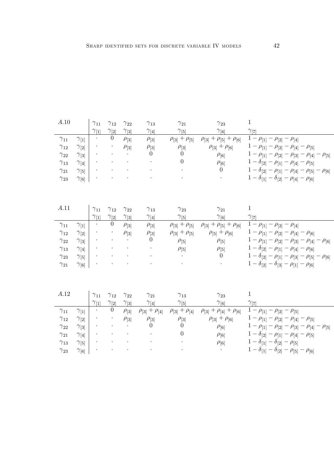| A.10          |                | $\gamma_{11}$  | $\gamma_{12}$                                | $\gamma_{22}$ | $\gamma_{13}$         | $\gamma_{21}$         | $\gamma_{23}$                          | $\mathbf{1}$                                                           |
|---------------|----------------|----------------|----------------------------------------------|---------------|-----------------------|-----------------------|----------------------------------------|------------------------------------------------------------------------|
|               |                | $\gamma_{[1]}$ | $\gamma_{[2]}$                               | $\gamma_{3}$  | $\gamma_{[4]}$        | $\gamma_{5}$          | $\gamma_{[6]}$                         | $\gamma_{[7]}$                                                         |
| $\gamma_{11}$ | $\gamma_{1}$   |                | $\boldsymbol{0}$                             | $\rho_{3}$    | $\rho_{3}$            | $\rho_{3} + \rho_{5}$ | $\rho_{[3]} + \rho_{[5]} + \rho_{[6]}$ | $1 - \rho_{[1]} - \rho_{[2]} - \rho_{[4]}$                             |
| $\gamma_{12}$ | $\gamma_{2}$   |                |                                              | $\rho_{3}$    | $\rho_{3}$            | $\rho_{3}$            | $\rho_{3} + \rho_{6}$                  | $1 - \rho_{[1]} - \rho_{[2]} - \rho_{[4]} - \rho_{[5]}$                |
| $\gamma_{22}$ | $\gamma_{3}$   |                |                                              |               | 0                     | 0                     | $\rho_{[6]}$                           | $1 - \rho_{[1]} - \rho_{[2]} - \rho_{[3]} - \rho_{[4]} - \rho_{[5]}$   |
| $\gamma_{13}$ | $\gamma_{[4]}$ |                |                                              |               |                       | $\boldsymbol{0}$      | $\rho_{[6]}$                           | $1 - \delta_{[2]} - \rho_{[1]} - \rho_{[4]} - \rho_{[5]}$              |
| $\gamma_{21}$ | $\gamma_{5}$   |                |                                              |               |                       |                       | $\overline{0}$                         | $1-\delta_{[2]}-\rho_{[1]}-\rho_{[4]}-\rho_{[5]}-\rho_{[6]}$           |
| $\gamma_{23}$ | $\gamma_{[6]}$ |                |                                              |               |                       |                       |                                        | $1 - \delta_{[1]} - \delta_{[2]} - \rho_{[4]} - \rho_{[6]}$            |
|               |                |                |                                              |               |                       |                       |                                        |                                                                        |
|               |                |                |                                              |               |                       |                       |                                        |                                                                        |
| A.11          |                | $\gamma_{11}$  | $\gamma_{12}$                                | $\gamma_{22}$ | $\gamma_{13}$         | $\gamma_{23}$         | $\gamma_{21}$                          | $\mathbf{1}$                                                           |
|               |                | $\gamma_{1}$   | $\gamma_{2}$                                 | $\gamma_{3}$  | $\gamma_{4}$          | $\gamma_{5}$          | $\gamma_{[6]}$                         | $\gamma_{[7]}$                                                         |
| $\gamma_{11}$ | $\gamma_{11}$  | $\cdot$        | $\theta$                                     | $\rho_{3}$    | $\rho_{3}$            | $\rho_{3} + \rho_{5}$ | $\rho_{[3]} + \rho_{[5]} + \rho_{[6]}$ | $1 - \rho_{[1]} - \rho_{[2]} - \rho_{[4]}$                             |
| $\gamma_{12}$ | $\gamma_{[2]}$ |                |                                              | $\rho_{3}$    | $\rho_{3}$            | $\rho_{3} + \rho_{5}$ | $\rho_{5}$ + $\rho_{6}$                | $1 - \rho_{[1]} - \rho_{[2]} - \rho_{[4]} - \rho_{[6]}$                |
| $\gamma_{22}$ | $\gamma_{3}$   |                |                                              |               | $\theta$              | $\rho_{[5]}$          | $\rho_{[5]}$                           | $1 - \rho_{[1]} - \rho_{[2]} - \rho_{[3]} - \rho_{[4]} - \rho_{[6]}$   |
| $\gamma_{13}$ | $\gamma_{4}$   |                |                                              |               |                       | $\rho_{5}$            | $\rho_{5}$                             | $1 - \delta_{[2]} - \rho_{[1]} - \rho_{[4]} - \rho_{[6]}$              |
| $\gamma_{23}$ | $\gamma_{5}$   |                |                                              |               |                       |                       | $\theta$                               | $1 - \delta_{[2]} - \rho_{[1]} - \rho_{[3]} - \rho_{[5]} - \rho_{[6]}$ |
| $\gamma_{21}$ | $\gamma_{[6]}$ |                |                                              |               |                       |                       |                                        | $1 - \delta_{[2]} - \delta_{[3]} - \rho_{[1]} - \rho_{[6]}$            |
|               |                |                |                                              |               |                       |                       |                                        |                                                                        |
|               |                |                |                                              |               |                       |                       |                                        |                                                                        |
| A.12          |                |                |                                              |               |                       |                       |                                        |                                                                        |
|               |                | $\gamma_{11}$  | $\gamma_{12}$                                | $\gamma_{22}$ | $\gamma_{21}$         | $\gamma_{13}$         | $\gamma_{23}$                          | $\mathbf{1}$                                                           |
|               |                | $\gamma_{[1]}$ | $\underline{\gamma_{[2]}}$<br>$\overline{0}$ | $\gamma_{3}$  | $\gamma_{[4]}$        | $\gamma_{5}$          | $\gamma_{[\underline{6}]}$             | $\gamma_{[7]}$                                                         |
| $\gamma_{11}$ | $\gamma_{1}$   | $\bullet$      |                                              | $\rho_{3}$    | $\rho_{3} + \rho_{4}$ | $\rho_{3} + \rho_{4}$ | $\rho_{[3]} + \rho_{[4]} + \rho_{[6]}$ | $1 - \rho_{[1]} - \rho_{[2]} - \rho_{[5]}$                             |
| $\gamma_{12}$ | $\gamma_{[2]}$ |                |                                              | $\rho_{3}$    | $\rho_{3}$            | $\rho_{[3]}$          | $\rho_{3} + \rho_{6}$                  | $1 - \rho_{[1]} - \rho_{[2]} - \rho_{[4]} - \rho_{[5]}$                |
| $\gamma_{22}$ | $\gamma_{3}$   |                |                                              |               | $\theta$              | $\theta$              | $\rho_{[6]}$                           | $1 - \rho_{[1]} - \rho_{[2]} - \rho_{[3]} - \rho_{[4]} - \rho_{[5]}$   |
| $\gamma_{21}$ | $\gamma_{[4]}$ |                |                                              |               |                       | $\boldsymbol{0}$      | $\rho_{[6]}$                           | $1 - \delta_{[2]} - \rho_{[1]} - \rho_{[4]} - \rho_{[5]}$              |
| $\gamma_{13}$ | $\gamma_{5}$   |                |                                              |               |                       |                       | $\rho_{[6]}$                           | $1 - \delta_{[1]} - \delta_{[2]} - \rho_{[5]}$                         |
| $\gamma_{23}$ | $\gamma_{[6]}$ |                |                                              |               |                       |                       | $\bullet$                              | $1 - \delta_{[1]} - \delta_{[2]} - \rho_{[5]} - \rho_{[6]}$            |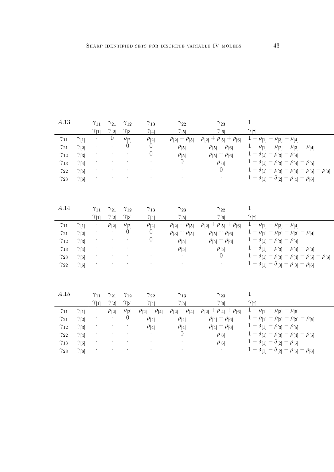| A.13          |                | $\gamma_{11}$                 | $\gamma_{21}$                   | $\gamma_{12}$                 | $\gamma_{13}$                   | $\gamma_{22}$                   | $\gamma_{23}$                          | 1                                                                      |
|---------------|----------------|-------------------------------|---------------------------------|-------------------------------|---------------------------------|---------------------------------|----------------------------------------|------------------------------------------------------------------------|
|               |                | $\gamma_{[1]}$                | $\gamma_{[2]}$                  | $\gamma_{3}$                  | $\gamma_{[4]}$                  | $\gamma_{5}$                    | $\gamma_{[6]}$                         | $\gamma_{[7]}$                                                         |
| $\gamma_{11}$ | $\gamma_{1}$   |                               | $\Omega$                        | $\rho_{[2]}$                  | $\rho_{2}$                      | $\rho_{[2]} + \rho_{[5]}$       | $\rho_{[2]} + \rho_{[5]} + \rho_{[6]}$ | $1 - \rho_{[1]} - \rho_{[3]} - \rho_{[4]}$                             |
| $\gamma_{21}$ | $\gamma_{2}$   |                               |                                 | $\theta$                      | $\theta$                        | $\rho_{5}$                      | $\rho_{5} + \rho_{6}$                  | $1 - \rho_{[1]} - \rho_{[2]} - \rho_{[3]} - \rho_{[4]}$                |
| $\gamma_{12}$ | $\gamma_{3}$   |                               |                                 |                               | $\theta$                        | $\rho_{[5]}$                    | $\rho_{[5]} + \rho_{[6]}$              | $1 - \delta_{[1]} - \rho_{[3]} - \rho_{[4]}$                           |
| $\gamma_{13}$ | $\gamma_{4}$   |                               |                                 |                               |                                 | $\theta$                        | $\rho_{[6]}$                           | $1 - \delta_{[1]} - \rho_{[3]} - \rho_{[4]} - \rho_{[5]}$              |
| $\gamma_{22}$ | $\gamma_{5}$   |                               |                                 |                               |                                 |                                 | $\overline{0}$                         | $1 - \delta_{[1]} - \rho_{[3]} - \rho_{[4]} - \rho_{[5]} - \rho_{[6]}$ |
| $\gamma_{23}$ | $\gamma_{[6]}$ |                               |                                 |                               |                                 |                                 |                                        | $1 - \delta_{[1]} - \delta_{[2]} - \rho_{[4]} - \rho_{[6]}$            |
| A.14          |                | $\gamma_{11}$                 | $\gamma_{21}$                   | $\gamma_{12}$                 | $\gamma_{13}$                   | $\gamma_{23}$                   | $\gamma_{22}$                          | $\mathbf 1$                                                            |
|               |                | $\gamma_{11}$                 | $\gamma_{[2]}$                  | $\gamma_{3}$                  | $\gamma_{4}$                    | $\gamma_{5}$                    | $\gamma_{[6]}$                         | $\gamma_{[7]}$                                                         |
| $\gamma_{11}$ | $\gamma_{1}$   |                               | $\rho_{2}$                      | $\rho_{[2]}$                  | $\rho_{2}$                      | $\rho_{[2]} + \rho_{[5]}$       | $\rho_{[2]} + \rho_{[5]} + \rho_{[6]}$ | $1 - \rho_{[1]} - \rho_{[3]} - \rho_{[4]}$                             |
| $\gamma_{21}$ | $\gamma_{[2]}$ |                               |                                 | $\theta$                      | $\overline{0}$                  | $\rho_{3} + \rho_{5}$           | $\rho_{[5]} + \rho_{[6]}$              | $1 - \rho_{[1]} - \rho_{[2]} - \rho_{[3]} - \rho_{[4]}$                |
| $\gamma_{12}$ | $\gamma_{3}$   |                               |                                 |                               | $\theta$                        | $\rho_{[5]}$                    | $\rho_{[5]} + \rho_{[6]}$              | $1 - \delta_{[1]} - \rho_{[3]} - \rho_{[4]}$                           |
| $\gamma_{13}$ | $\gamma_{[4]}$ |                               |                                 |                               |                                 | $\rho_{[5]}$                    | $\rho_{[5]}$                           | $1 - \delta_{[1]} - \rho_{[3]} - \rho_{[4]} - \rho_{[6]}$              |
| $\gamma_{23}$ | $\gamma_{5}$   |                               |                                 |                               |                                 |                                 | $\theta$                               | $1 - \delta_{[1]} - \rho_{[3]} - \rho_{[4]} - \rho_{[5]} - \rho_{[6]}$ |
| $\gamma_{22}$ | $\gamma_{[6]}$ |                               |                                 |                               |                                 |                                 |                                        | $1 - \delta_{[1]} - \delta_{[3]} - \rho_{[3]} - \rho_{[6]}$            |
| A.15          |                | $\gamma_{11}$<br>$\gamma_{1}$ | $\gamma_{21}$<br>$\gamma_{[2]}$ | $\gamma_{12}$<br>$\gamma_{3}$ | $\gamma_{22}$<br>$\gamma_{[4]}$ | $\gamma_{13}$<br>$\gamma_{[5]}$ | $\gamma_{23}$<br>$\gamma_{[6]}$        | $\mathbf 1$<br>$\gamma_{[7]}$                                          |
| $\gamma_{11}$ | $\gamma_{1}$   | $\bullet$                     | $\rho_{[2]}$                    | $\rho_{[2]}$                  | $\rho_{2}$ + $\rho_{4}$         | $\rho_{[2]} + \rho_{[4]}$       | $\rho_{[2]} + \rho_{[4]} + \rho_{[6]}$ | $1 - \rho_{[1]} - \rho_{[3]} - \rho_{[5]}$                             |
| $\gamma_{21}$ | $\gamma_{2}$   |                               |                                 | $\theta$                      | $\rho_{[4]}$                    | $\rho_{[4]}$                    | $\rho_{[4]} + \rho_{[6]}$              | $1 - \rho_{[1]} - \rho_{[2]} - \rho_{[3]} - \rho_{[5]}$                |
| $\gamma_{12}$ | $\gamma_{3}$   |                               |                                 |                               | $\rho_{[4]}$                    | $\rho_{[4]}$                    | $\rho_{[4]} + \rho_{[6]}$              | $1 - \delta_{[1]} - \rho_{[3]} - \rho_{[5]}$                           |
| $\gamma_{22}$ | $\gamma_{4}$   |                               |                                 |                               |                                 | $\overline{0}$                  | $\rho_{[6]}$                           | $1-\delta_{[1]}-\rho_{[3]}-\rho_{[4]}-\rho_{[5]}$                      |
| $\gamma_{13}$ | $\gamma_{5}$   |                               |                                 |                               |                                 |                                 | $\rho_{[6]}$                           | $1 - \delta_{[1]} - \delta_{[2]} - \rho_{[5]}$                         |
| $\gamma_{23}$ | $\gamma_{[6]}$ |                               |                                 |                               |                                 |                                 | $\bullet$                              | $1 - \delta_{11} - \delta_{2} - \rho_{5} - \rho_{6}$                   |
|               |                |                               |                                 |                               |                                 |                                 |                                        |                                                                        |